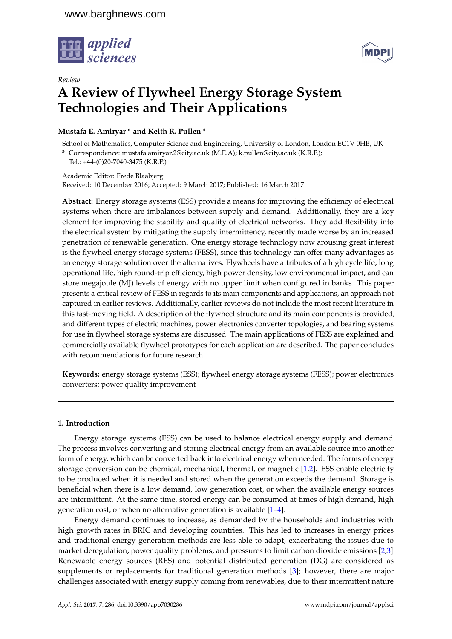



# *Review* **A Review of Flywheel Energy Storage System Technologies and Their Applications**

**Mustafa E. Amiryar \* and Keith R. Pullen \***

School of Mathematics, Computer Science and Engineering, University of London, London EC1V 0HB, UK

**\*** Correspondence: mustafa.amiryar.2@city.ac.uk (M.E.A); k.pullen@city.ac.uk (K.R.P.);

Tel.: +44-(0)20-7040-3475 (K.R.P.)

Academic Editor: Frede Blaabjerg Received: 10 December 2016; Accepted: 9 March 2017; Published: 16 March 2017

**Abstract:** Energy storage systems (ESS) provide a means for improving the efficiency of electrical systems when there are imbalances between supply and demand. Additionally, they are a key element for improving the stability and quality of electrical networks. They add flexibility into the electrical system by mitigating the supply intermittency, recently made worse by an increased penetration of renewable generation. One energy storage technology now arousing great interest is the flywheel energy storage systems (FESS), since this technology can offer many advantages as an energy storage solution over the alternatives. Flywheels have attributes of a high cycle life, long operational life, high round-trip efficiency, high power density, low environmental impact, and can store megajoule (MJ) levels of energy with no upper limit when configured in banks. This paper presents a critical review of FESS in regards to its main components and applications, an approach not captured in earlier reviews. Additionally, earlier reviews do not include the most recent literature in this fast-moving field. A description of the flywheel structure and its main components is provided, and different types of electric machines, power electronics converter topologies, and bearing systems for use in flywheel storage systems are discussed. The main applications of FESS are explained and commercially available flywheel prototypes for each application are described. The paper concludes with recommendations for future research.

**Keywords:** energy storage systems (ESS); flywheel energy storage systems (FESS); power electronics converters; power quality improvement

# **1. Introduction**

Energy storage systems (ESS) can be used to balance electrical energy supply and demand. The process involves converting and storing electrical energy from an available source into another form of energy, which can be converted back into electrical energy when needed. The forms of energy storage conversion can be chemical, mechanical, thermal, or magnetic [\[1](#page-16-0)[,2\]](#page-16-1). ESS enable electricity to be produced when it is needed and stored when the generation exceeds the demand. Storage is beneficial when there is a low demand, low generation cost, or when the available energy sources are intermittent. At the same time, stored energy can be consumed at times of high demand, high generation cost, or when no alternative generation is available [\[1–](#page-16-0)[4\]](#page-16-2).

Energy demand continues to increase, as demanded by the households and industries with high growth rates in BRIC and developing countries. This has led to increases in energy prices and traditional energy generation methods are less able to adapt, exacerbating the issues due to market deregulation, power quality problems, and pressures to limit carbon dioxide emissions [\[2,](#page-16-1)[3\]](#page-16-3). Renewable energy sources (RES) and potential distributed generation (DG) are considered as supplements or replacements for traditional generation methods [\[3\]](#page-16-3); however, there are major challenges associated with energy supply coming from renewables, due to their intermittent nature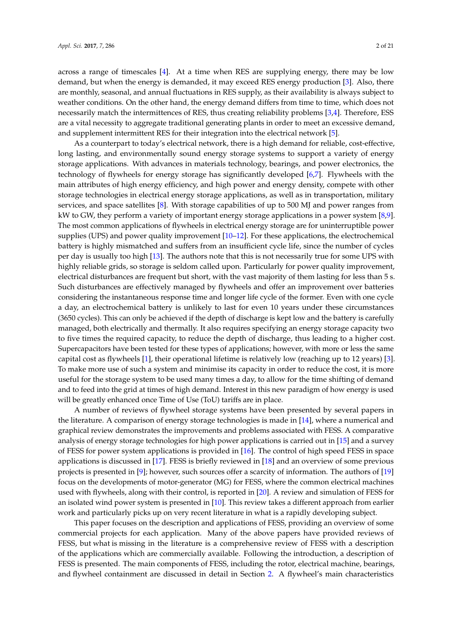across a range of timescales [\[4\]](#page-16-2). At a time when RES are supplying energy, there may be low demand, but when the energy is demanded, it may exceed RES energy production [\[3\]](#page-16-3). Also, there are monthly, seasonal, and annual fluctuations in RES supply, as their availability is always subject to weather conditions. On the other hand, the energy demand differs from time to time, which does not necessarily match the intermittences of RES, thus creating reliability problems [\[3,](#page-16-3)[4\]](#page-16-2). Therefore, ESS are a vital necessity to aggregate traditional generating plants in order to meet an excessive demand, and supplement intermittent RES for their integration into the electrical network [\[5\]](#page-16-4).

As a counterpart to today's electrical network, there is a high demand for reliable, cost-effective, long lasting, and environmentally sound energy storage systems to support a variety of energy storage applications. With advances in materials technology, bearings, and power electronics, the technology of flywheels for energy storage has significantly developed [\[6,](#page-16-5)[7\]](#page-16-6). Flywheels with the main attributes of high energy efficiency, and high power and energy density, compete with other storage technologies in electrical energy storage applications, as well as in transportation, military services, and space satellites [\[8\]](#page-16-7). With storage capabilities of up to 500 MJ and power ranges from kW to GW, they perform a variety of important energy storage applications in a power system [\[8,](#page-16-7)[9\]](#page-16-8). The most common applications of flywheels in electrical energy storage are for uninterruptible power supplies (UPS) and power quality improvement [\[10](#page-16-9)[–12\]](#page-16-10). For these applications, the electrochemical battery is highly mismatched and suffers from an insufficient cycle life, since the number of cycles per day is usually too high [\[13\]](#page-16-11). The authors note that this is not necessarily true for some UPS with highly reliable grids, so storage is seldom called upon. Particularly for power quality improvement, electrical disturbances are frequent but short, with the vast majority of them lasting for less than 5 s. Such disturbances are effectively managed by flywheels and offer an improvement over batteries considering the instantaneous response time and longer life cycle of the former. Even with one cycle a day, an electrochemical battery is unlikely to last for even 10 years under these circumstances (3650 cycles). This can only be achieved if the depth of discharge is kept low and the battery is carefully managed, both electrically and thermally. It also requires specifying an energy storage capacity two to five times the required capacity, to reduce the depth of discharge, thus leading to a higher cost. Supercapacitors have been tested for these types of applications; however, with more or less the same capital cost as flywheels [\[1\]](#page-16-0), their operational lifetime is relatively low (reaching up to 12 years) [\[3\]](#page-16-3). To make more use of such a system and minimise its capacity in order to reduce the cost, it is more useful for the storage system to be used many times a day, to allow for the time shifting of demand and to feed into the grid at times of high demand. Interest in this new paradigm of how energy is used will be greatly enhanced once Time of Use (ToU) tariffs are in place.

A number of reviews of flywheel storage systems have been presented by several papers in the literature. A comparison of energy storage technologies is made in [\[14\]](#page-16-12), where a numerical and graphical review demonstrates the improvements and problems associated with FESS. A comparative analysis of energy storage technologies for high power applications is carried out in [\[15\]](#page-16-13) and a survey of FESS for power system applications is provided in [\[16\]](#page-16-14). The control of high speed FESS in space applications is discussed in [\[17\]](#page-16-15). FESS is briefly reviewed in [\[18\]](#page-16-16) and an overview of some previous projects is presented in [\[9\]](#page-16-8); however, such sources offer a scarcity of information. The authors of [\[19\]](#page-16-17) focus on the developments of motor-generator (MG) for FESS, where the common electrical machines used with flywheels, along with their control, is reported in [\[20\]](#page-17-0). A review and simulation of FESS for an isolated wind power system is presented in [\[10\]](#page-16-9). This review takes a different approach from earlier work and particularly picks up on very recent literature in what is a rapidly developing subject.

This paper focuses on the description and applications of FESS, providing an overview of some commercial projects for each application. Many of the above papers have provided reviews of FESS, but what is missing in the literature is a comprehensive review of FESS with a description of the applications which are commercially available. Following the introduction, a description of FESS is presented. The main components of FESS, including the rotor, electrical machine, bearings, and flywheel containment are discussed in detail in Section [2.](#page-2-0) A flywheel's main characteristics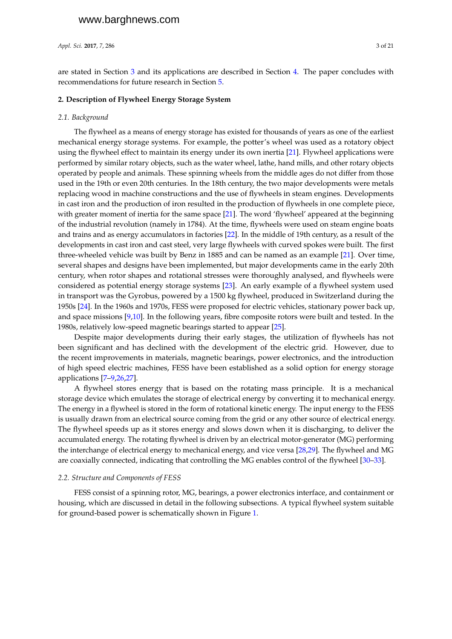*Appl. Sci.* **2017**, *7*, 286 3 of 21

are stated in Section [3](#page-9-0) and its applications are described in Section [4.](#page-9-1) The paper concludes with recommendations for future research in Section [5.](#page-15-0)

# <span id="page-2-0"></span>**2. Description of Flywheel Energy Storage System**

#### *2.1. Background*

The flywheel as a means of energy storage has existed for thousands of years as one of the earliest mechanical energy storage systems. For example, the potter's wheel was used as a rotatory object using the flywheel effect to maintain its energy under its own inertia [\[21\]](#page-17-1). Flywheel applications were performed by similar rotary objects, such as the water wheel, lathe, hand mills, and other rotary objects operated by people and animals. These spinning wheels from the middle ages do not differ from those used in the 19th or even 20th centuries. In the 18th century, the two major developments were metals replacing wood in machine constructions and the use of flywheels in steam engines. Developments in cast iron and the production of iron resulted in the production of flywheels in one complete piece, with greater moment of inertia for the same space [\[21\]](#page-17-1). The word 'flywheel' appeared at the beginning of the industrial revolution (namely in 1784). At the time, flywheels were used on steam engine boats and trains and as energy accumulators in factories [\[22\]](#page-17-2). In the middle of 19th century, as a result of the developments in cast iron and cast steel, very large flywheels with curved spokes were built. The first three-wheeled vehicle was built by Benz in 1885 and can be named as an example [\[21\]](#page-17-1). Over time, several shapes and designs have been implemented, but major developments came in the early 20th century, when rotor shapes and rotational stresses were thoroughly analysed, and flywheels were considered as potential energy storage systems [\[23\]](#page-17-3). An early example of a flywheel system used in transport was the Gyrobus, powered by a 1500 kg flywheel, produced in Switzerland during the 1950s [\[24\]](#page-17-4). In the 1960s and 1970s, FESS were proposed for electric vehicles, stationary power back up, and space missions [\[9](#page-16-8)[,10\]](#page-16-9). In the following years, fibre composite rotors were built and tested. In the 1980s, relatively low-speed magnetic bearings started to appear [\[25\]](#page-17-5).

Despite major developments during their early stages, the utilization of flywheels has not been significant and has declined with the development of the electric grid. However, due to the recent improvements in materials, magnetic bearings, power electronics, and the introduction of high speed electric machines, FESS have been established as a solid option for energy storage applications [\[7](#page-16-6)[–9,](#page-16-8)[26,](#page-17-6)[27\]](#page-17-7).

A flywheel stores energy that is based on the rotating mass principle. It is a mechanical storage device which emulates the storage of electrical energy by converting it to mechanical energy. The energy in a flywheel is stored in the form of rotational kinetic energy. The input energy to the FESS is usually drawn from an electrical source coming from the grid or any other source of electrical energy. The flywheel speeds up as it stores energy and slows down when it is discharging, to deliver the accumulated energy. The rotating flywheel is driven by an electrical motor-generator (MG) performing the interchange of electrical energy to mechanical energy, and vice versa [\[28,](#page-17-8)[29\]](#page-17-9). The flywheel and MG are coaxially connected, indicating that controlling the MG enables control of the flywheel [\[30–](#page-17-10)[33\]](#page-17-11).

#### *2.2. Structure and Components of FESS*

FESS consist of a spinning rotor, MG, bearings, a power electronics interface, and containment or housing, which are discussed in detail in the following subsections. A typical flywheel system suitable for ground-based power is schematically shown in Figure [1.](#page-3-0)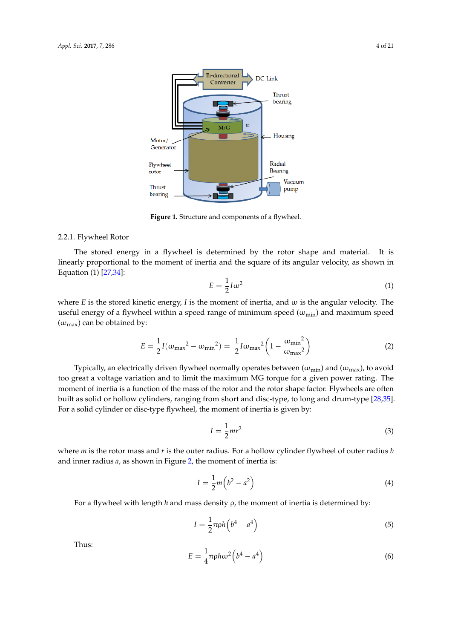<span id="page-3-0"></span>

**Figure 1.** Structure and components of a flywheel. **Figure 1.** Structure and components of a flywheel.

# 2.2.1. Flywheel Rotor 2.2.1. Flywheel Rotor

The stored energy in a flywheel is determined by the rotor shape and material. It is The stored energy in a flywheel is determined by the rotor shape and material. It is linearly proportional to the moment of inertia and the square of its angular velocity, as shown in linearly proportional to the moment of inertia and the square of its angular velocity, as shown in Equation (1) [27,34]: Equation (1) [\[27](#page-17-7)[,34\]](#page-17-12):

$$
E = \frac{1}{2}I\omega^2\tag{1}
$$

where *E* is the stored kinetic energy, *I* is the moment of inertia, and  $\omega$  is the angular velocity. The useful energy of a flywheel within a speed range of minimum speed ( $\omega_{min}$ ) and maximum speed  $(\omega_{\text{max}})$  can be obtained by:

$$
E = \frac{1}{2}I(\omega_{\text{max}}^2 - \omega_{\text{min}}^2) = \frac{1}{2}I\omega_{\text{max}}^2 \left(1 - \frac{\omega_{\text{min}}^2}{\omega_{\text{max}}^2}\right)
$$
(2)

Typically, an electrically driven flywheel normally operates between  $(\omega_{min})$  and  $(\omega_{max})$ , to avoid too great a voltage variation and to limit the maximum MG torque for a given power rating. The moment of inertia is a function of the mass of the rotor and the rotor shape factor. Flywheels are often  $\frac{1}{100}$ built as solid or hollow cylinders, ranging from short and disc-type, to long and drum-type [28,35]. built as solid or hollow cylinders, ranging from short and disc-type, to long and drum-type [\[28,](#page-17-8)[35\]](#page-17-13). For a solid cylinder or disc-type flywheel, the moment of inertia is given by: For a solid cylinder or disc-type flywheel, the moment of inertia is given by: too great a voltage variation and to limit the maximum MG torque for a given power rating. The

$$
I = \frac{1}{2}mr^2\tag{3}
$$

where  $m$  is the rotor mass and  $r$  is the outer radius. For a hollow cylinder flywheel of outer radius  $b$ and inner radius *a*, as shown in Figure [2,](#page-4-0) the moment of inertia is:

$$
I = \frac{1}{2}m\left(b^2 - a^2\right) \tag{4}
$$

For a flywheel with length *h* and mass density ρ, the moment of inertia is determined by: 1 For a flywheel with length *h* and mass density ρ, the moment of inertia is determined by:

$$
I = \frac{1}{2}\pi \rho h \left(b^4 - a^4\right) \tag{5}
$$

Thus:

$$
E = \frac{1}{4}\pi\rho h\omega^2 \left(b^4 - a^4\right) \tag{6}
$$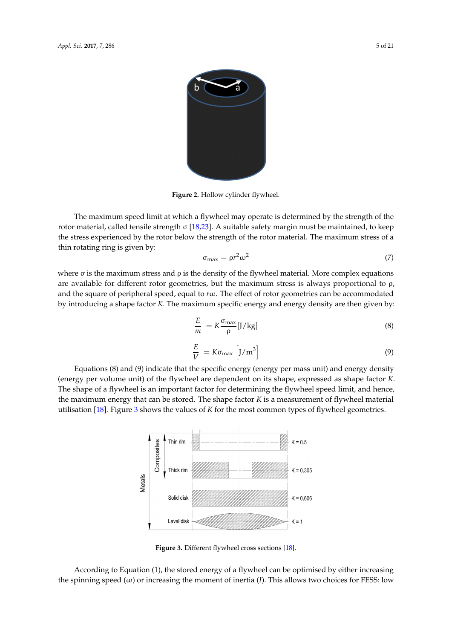<span id="page-4-0"></span>

**Figure 2.** Hollow cylinder flywheel. **Figure 2.** Hollow cylinder flywheel. **Figure 2.** Hollow cylinder flywheel.

The maximum speed limit at which a flywheel may operate is determined by the strength of the rotor material, called tensile strength  $\sigma$  [\[18](#page-17-3),23]. A suitable safety margin must be maintained, to keep the stress experienced by the rotor below the strength of the rotor material. The maximum stress of a thin rotating ring is given by: The maximum speed limit at which a flywhere is determined by the strength of the strength of the strength of the strength of the strength of the strength of the strength of the strength of the strength of the strength of

$$
\sigma_{\text{max}} = \rho r^2 \omega^2 \tag{7}
$$

where  $\sigma$  is the maximum stress and  $\rho$  is the density of the flywheel material. More complex equations are available for different rotor geometries, but the maximum stress is always proportional to  $\rho$ , and the square of peripheral speed, equal to rw. The effect of rotor geometries can be accommodated by introducing a shape factor  $K$ . The maximum specific energy and energy density are then given by:  $\overline{a}$ 

$$
\frac{E}{m} = K \frac{\sigma_{\text{max}}}{\rho} [J/kg]
$$
 (8)

$$
\frac{E}{V} = K\sigma_{\text{max}} \left[ J/m^3 \right]
$$
\n(9)

<span id="page-4-1"></span>(energy per volume unit) of the flywheel are dependent on its shape, expressed as shape factor K. The shape of a flywheel is an important factor for determining the flywheel speed limit, and hence, the maximum energy that can be stored. The shape factor K is a measurement of flywheel material utilisation [18]. Figure [3](#page-4-1) shows the values of  $K$  for the most common types of flywheel geometries. Equations (8) and (9) indicate that the specific energy (energy per mass unit) and energy density Equations (8) and (9) indicate that the specific energy (energy per mass unit) and energy density



**Figure 3.** Different flywheel cross sections [18]. **Figure 3.** Different flywheel cross sections [\[18](#page-16-16)]. **Figure 3.** Different flywheel cross sections [18].

According to Equation (1), the stored energy of a flywheel can be optimised by either increasing the spinning speed (ω) or increasing the moment of inertia (*I*). This allows two choices for FESS: low According to Equation (1), the stored energy of a flywheel can be optimised by either increasing According to Equation (1), the stored energy of a flywheel can be optimised by either increasing the spinning speed (ω) or increasing the moment of inertia (*I*). This allows two choices for FESS: low  $\mathbf{r}$  (up to 100,000 rpm) and high speed FESS (up to 100,000 rpm)  $\mathbf{r}$ the spinning speed (ω) or increasing the moment of inertia (*I*). This allows two choices for FESS: low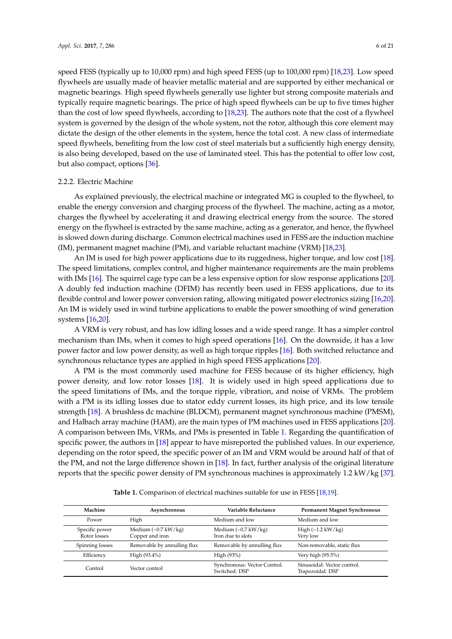speed FESS (typically up to 10,000 rpm) and high speed FESS (up to 100,000 rpm) [\[18](#page-16-16)[,23\]](#page-17-3). Low speed flywheels are usually made of heavier metallic material and are supported by either mechanical or magnetic bearings. High speed flywheels generally use lighter but strong composite materials and typically require magnetic bearings. The price of high speed flywheels can be up to five times higher than the cost of low speed flywheels, according to [\[18](#page-16-16)[,23\]](#page-17-3). The authors note that the cost of a flywheel system is governed by the design of the whole system, not the rotor, although this core element may dictate the design of the other elements in the system, hence the total cost. A new class of intermediate speed flywheels, benefiting from the low cost of steel materials but a sufficiently high energy density, is also being developed, based on the use of laminated steel. This has the potential to offer low cost, but also compact, options [\[36\]](#page-17-14).

## 2.2.2. Electric Machine

As explained previously, the electrical machine or integrated MG is coupled to the flywheel, to enable the energy conversion and charging process of the flywheel. The machine, acting as a motor, charges the flywheel by accelerating it and drawing electrical energy from the source. The stored energy on the flywheel is extracted by the same machine, acting as a generator, and hence, the flywheel is slowed down during discharge. Common electrical machines used in FESS are the induction machine (IM), permanent magnet machine (PM), and variable reluctant machine (VRM) [\[18,](#page-16-16)[23\]](#page-17-3).

An IM is used for high power applications due to its ruggedness, higher torque, and low cost [\[18\]](#page-16-16). The speed limitations, complex control, and higher maintenance requirements are the main problems with IMs [\[16\]](#page-16-14). The squirrel cage type can be a less expensive option for slow response applications [\[20\]](#page-17-0). A doubly fed induction machine (DFIM) has recently been used in FESS applications, due to its flexible control and lower power conversion rating, allowing mitigated power electronics sizing [\[16](#page-16-14)[,20\]](#page-17-0). An IM is widely used in wind turbine applications to enable the power smoothing of wind generation systems [\[16](#page-16-14)[,20\]](#page-17-0).

A VRM is very robust, and has low idling losses and a wide speed range. It has a simpler control mechanism than IMs, when it comes to high speed operations [\[16\]](#page-16-14). On the downside, it has a low power factor and low power density, as well as high torque ripples [\[16\]](#page-16-14). Both switched reluctance and synchronous reluctance types are applied in high speed FESS applications [\[20\]](#page-17-0).

A PM is the most commonly used machine for FESS because of its higher efficiency, high power density, and low rotor losses [\[18\]](#page-16-16). It is widely used in high speed applications due to the speed limitations of IMs, and the torque ripple, vibration, and noise of VRMs. The problem with a PM is its idling losses due to stator eddy current losses, its high price, and its low tensile strength [\[18\]](#page-16-16). A brushless dc machine (BLDCM), permanent magnet synchronous machine (PMSM), and Halbach array machine (HAM), are the main types of PM machines used in FESS applications [\[20\]](#page-17-0). A comparison between IMs, VRMs, and PMs is presented in Table [1.](#page-6-0) Regarding the quantification of specific power, the authors in [\[18\]](#page-16-16) appear to have misreported the published values. In our experience, depending on the rotor speed, the specific power of an IM and VRM would be around half of that of the PM, and not the large difference shown in [\[18\]](#page-16-16). In fact, further analysis of the original literature reports that the specific power density of PM synchronous machines is approximately 1.2 kW/kg [\[37\]](#page-17-15).

| Machine                        | Asynchronous                                          | Variable Reluctance                                     | <b>Permanent Magnet Synchronous</b>             |
|--------------------------------|-------------------------------------------------------|---------------------------------------------------------|-------------------------------------------------|
| Power                          | High                                                  | Medium and low                                          | Medium and low                                  |
| Specific power<br>Rotor losses | Medium $({\sim}0.7 \text{ kW/kg})$<br>Copper and iron | Medium $({\sim}0.7 \text{ kW/kg})$<br>Iron due to slots | High $(\sim 1.2 \text{ kW/kg})$<br>Very low     |
| Spinning losses                | Removable by annulling flux                           | Removable by annulling flux                             | Non-removable, static flux                      |
| Efficiency                     | High (93.4%)                                          | High (93%)                                              | Very high (95.5%)                               |
| Control                        | Vector control                                        | Synchronous: Vector Control.<br>Switched: DSP           | Sinusoidal: Vector control.<br>Trapezoidal: DSP |

**Table 1.** Comparison of electrical machines suitable for use in FESS [\[18](#page-16-16)[,19\]](#page-16-17).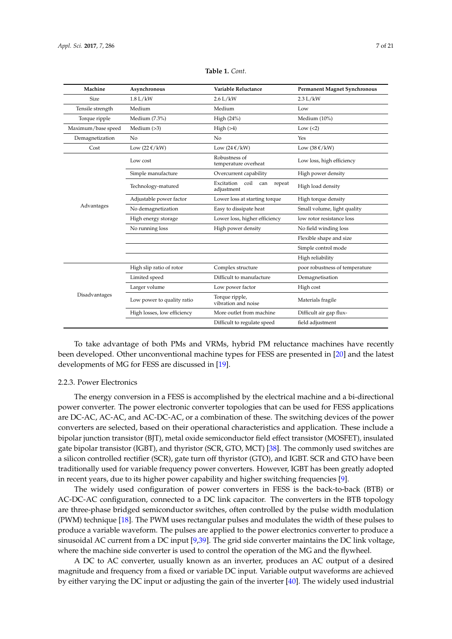<span id="page-6-0"></span>

| Machine            | Asynchronous                      | Variable Reluctance                               | <b>Permanent Magnet Synchronous</b> |
|--------------------|-----------------------------------|---------------------------------------------------|-------------------------------------|
| <b>Size</b>        | $1.8$ L/kW                        | $2.6$ L/kW                                        | 2.3 L/kW                            |
| Tensile strength   | Medium                            | Medium                                            | Low                                 |
| Torque ripple      | Medium (7.3%)                     | High $(24%)$                                      | Medium (10%)                        |
| Maximum/base speed | Medium $(>3)$                     | High(>4)                                          | Low $(<2)$                          |
| Demagnetization    | N <sub>o</sub>                    | N <sub>o</sub>                                    | Yes                                 |
| Cost               | Low $(22 \frac{\varepsilon}{kW})$ | Low $(24 \text{ E}/kW)$                           | Low $(38 \text{ E}/kW)$             |
| Advantages         | Low cost                          | Robustness of<br>temperature overheat             | Low loss, high efficiency           |
|                    | Simple manufacture                | Overcurrent capability                            | High power density                  |
|                    | Technology-matured                | Excitation<br>coil<br>can<br>repeat<br>adjustment | High load density                   |
|                    | Adjustable power factor           | Lower loss at starting torque                     | High torque density                 |
|                    | No demagnetization                | Easy to dissipate heat                            | Small volume, light quality         |
|                    | High energy storage               | Lower loss, higher efficiency                     | low rotor resistance loss           |
|                    | No running loss                   | High power density                                | No field winding loss               |
|                    |                                   |                                                   | Flexible shape and size             |
|                    |                                   |                                                   | Simple control mode                 |
|                    |                                   |                                                   | High reliability                    |
| Disadvantages      | High slip ratio of rotor          | Complex structure                                 | poor robustness of temperature      |
|                    | Limited speed                     | Difficult to manufacture                          | Demagnetisation                     |
|                    | Larger volume                     | Low power factor                                  | High cost                           |
|                    | Low power to quality ratio        | Torque ripple,<br>vibration and noise             | Materials fragile                   |
|                    | High losses, low efficiency       | More outlet from machine                          | Difficult air gap flux-             |
|                    |                                   | Difficult to regulate speed                       | field adjustment                    |

**Table 1.** *Cont*.

To take advantage of both PMs and VRMs, hybrid PM reluctance machines have recently been developed. Other unconventional machine types for FESS are presented in [\[20\]](#page-17-0) and the latest developments of MG for FESS are discussed in [\[19\]](#page-16-17).

#### 2.2.3. Power Electronics

The energy conversion in a FESS is accomplished by the electrical machine and a bi-directional power converter. The power electronic converter topologies that can be used for FESS applications are DC-AC, AC-AC, and AC-DC-AC, or a combination of these. The switching devices of the power converters are selected, based on their operational characteristics and application. These include a bipolar junction transistor (BJT), metal oxide semiconductor field effect transistor (MOSFET), insulated gate bipolar transistor (IGBT), and thyristor (SCR, GTO, MCT) [\[38\]](#page-17-16). The commonly used switches are a silicon controlled rectifier (SCR), gate turn off thyristor (GTO), and IGBT. SCR and GTO have been traditionally used for variable frequency power converters. However, IGBT has been greatly adopted in recent years, due to its higher power capability and higher switching frequencies [\[9\]](#page-16-8).

The widely used configuration of power converters in FESS is the back-to-back (BTB) or AC-DC-AC configuration, connected to a DC link capacitor. The converters in the BTB topology are three-phase bridged semiconductor switches, often controlled by the pulse width modulation (PWM) technique [\[18\]](#page-16-16). The PWM uses rectangular pulses and modulates the width of these pulses to produce a variable waveform. The pulses are applied to the power electronics converter to produce a sinusoidal AC current from a DC input [\[9](#page-16-8)[,39\]](#page-17-17). The grid side converter maintains the DC link voltage, where the machine side converter is used to control the operation of the MG and the flywheel.

A DC to AC converter, usually known as an inverter, produces an AC output of a desired magnitude and frequency from a fixed or variable DC input. Variable output waveforms are achieved by either varying the DC input or adjusting the gain of the inverter [\[40\]](#page-17-18). The widely used industrial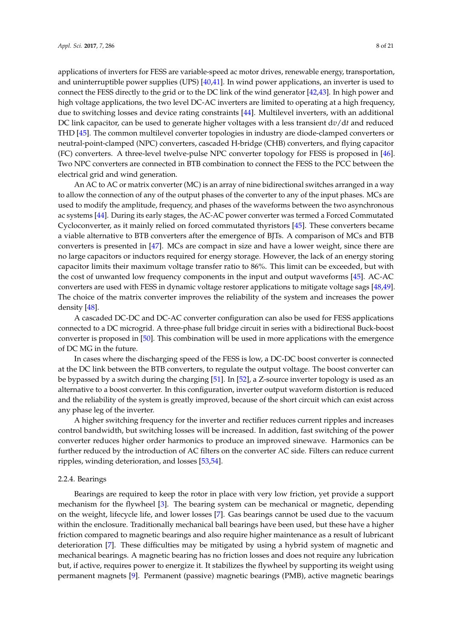applications of inverters for FESS are variable-speed ac motor drives, renewable energy, transportation, and uninterruptible power supplies (UPS) [\[40](#page-17-18)[,41\]](#page-17-19). In wind power applications, an inverter is used to connect the FESS directly to the grid or to the DC link of the wind generator [\[42,](#page-18-0)[43\]](#page-18-1). In high power and high voltage applications, the two level DC-AC inverters are limited to operating at a high frequency, due to switching losses and device rating constraints [\[44\]](#page-18-2). Multilevel inverters, with an additional DC link capacitor, can be used to generate higher voltages with a less transient d*v*/d*t* and reduced THD [\[45\]](#page-18-3). The common multilevel converter topologies in industry are diode-clamped converters or neutral-point-clamped (NPC) converters, cascaded H-bridge (CHB) converters, and flying capacitor (FC) converters. A three-level twelve-pulse NPC converter topology for FESS is proposed in [\[46\]](#page-18-4). Two NPC converters are connected in BTB combination to connect the FESS to the PCC between the electrical grid and wind generation.

An AC to AC or matrix converter (MC) is an array of nine bidirectional switches arranged in a way to allow the connection of any of the output phases of the converter to any of the input phases. MCs are used to modify the amplitude, frequency, and phases of the waveforms between the two asynchronous ac systems [\[44\]](#page-18-2). During its early stages, the AC-AC power converter was termed a Forced Commutated Cycloconverter, as it mainly relied on forced commutated thyristors [\[45\]](#page-18-3). These converters became a viable alternative to BTB converters after the emergence of BJTs. A comparison of MCs and BTB converters is presented in [\[47\]](#page-18-5). MCs are compact in size and have a lower weight, since there are no large capacitors or inductors required for energy storage. However, the lack of an energy storing capacitor limits their maximum voltage transfer ratio to 86%. This limit can be exceeded, but with the cost of unwanted low frequency components in the input and output waveforms [\[45\]](#page-18-3). AC-AC converters are used with FESS in dynamic voltage restorer applications to mitigate voltage sags [\[48](#page-18-6)[,49\]](#page-18-7). The choice of the matrix converter improves the reliability of the system and increases the power density [\[48\]](#page-18-6).

A cascaded DC-DC and DC-AC converter configuration can also be used for FESS applications connected to a DC microgrid. A three-phase full bridge circuit in series with a bidirectional Buck-boost converter is proposed in [\[50\]](#page-18-8). This combination will be used in more applications with the emergence of DC MG in the future.

In cases where the discharging speed of the FESS is low, a DC-DC boost converter is connected at the DC link between the BTB converters, to regulate the output voltage. The boost converter can be bypassed by a switch during the charging [\[51\]](#page-18-9). In [\[52\]](#page-18-10), a Z-source inverter topology is used as an alternative to a boost converter. In this configuration, inverter output waveform distortion is reduced and the reliability of the system is greatly improved, because of the short circuit which can exist across any phase leg of the inverter.

A higher switching frequency for the inverter and rectifier reduces current ripples and increases control bandwidth, but switching losses will be increased. In addition, fast switching of the power converter reduces higher order harmonics to produce an improved sinewave. Harmonics can be further reduced by the introduction of AC filters on the converter AC side. Filters can reduce current ripples, winding deterioration, and losses [\[53](#page-18-11)[,54\]](#page-18-12).

# 2.2.4. Bearings

Bearings are required to keep the rotor in place with very low friction, yet provide a support mechanism for the flywheel [\[3\]](#page-16-3). The bearing system can be mechanical or magnetic, depending on the weight, lifecycle life, and lower losses [\[7\]](#page-16-6). Gas bearings cannot be used due to the vacuum within the enclosure. Traditionally mechanical ball bearings have been used, but these have a higher friction compared to magnetic bearings and also require higher maintenance as a result of lubricant deterioration [\[7\]](#page-16-6). These difficulties may be mitigated by using a hybrid system of magnetic and mechanical bearings. A magnetic bearing has no friction losses and does not require any lubrication but, if active, requires power to energize it. It stabilizes the flywheel by supporting its weight using permanent magnets [\[9\]](#page-16-8). Permanent (passive) magnetic bearings (PMB), active magnetic bearings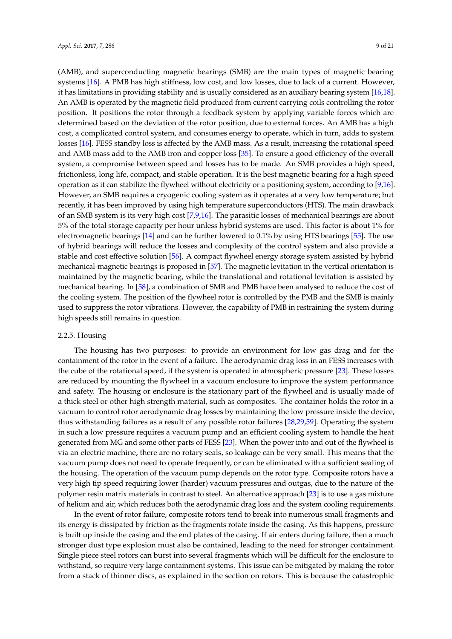(AMB), and superconducting magnetic bearings (SMB) are the main types of magnetic bearing systems [\[16\]](#page-16-14). A PMB has high stiffness, low cost, and low losses, due to lack of a current. However, it has limitations in providing stability and is usually considered as an auxiliary bearing system [\[16](#page-16-14)[,18\]](#page-16-16). An AMB is operated by the magnetic field produced from current carrying coils controlling the rotor position. It positions the rotor through a feedback system by applying variable forces which are determined based on the deviation of the rotor position, due to external forces. An AMB has a high cost, a complicated control system, and consumes energy to operate, which in turn, adds to system losses [\[16\]](#page-16-14). FESS standby loss is affected by the AMB mass. As a result, increasing the rotational speed and AMB mass add to the AMB iron and copper loss [\[35\]](#page-17-13). To ensure a good efficiency of the overall system, a compromise between speed and losses has to be made. An SMB provides a high speed, frictionless, long life, compact, and stable operation. It is the best magnetic bearing for a high speed operation as it can stabilize the flywheel without electricity or a positioning system, according to [\[9](#page-16-8)[,16\]](#page-16-14). However, an SMB requires a cryogenic cooling system as it operates at a very low temperature; but recently, it has been improved by using high temperature superconductors (HTS). The main drawback of an SMB system is its very high cost [\[7](#page-16-6)[,9](#page-16-8)[,16\]](#page-16-14). The parasitic losses of mechanical bearings are about 5% of the total storage capacity per hour unless hybrid systems are used. This factor is about 1% for electromagnetic bearings [\[14\]](#page-16-12) and can be further lowered to 0.1% by using HTS bearings [\[55\]](#page-18-13). The use of hybrid bearings will reduce the losses and complexity of the control system and also provide a stable and cost effective solution [\[56\]](#page-18-14). A compact flywheel energy storage system assisted by hybrid mechanical-magnetic bearings is proposed in [\[57\]](#page-18-15). The magnetic levitation in the vertical orientation is maintained by the magnetic bearing, while the translational and rotational levitation is assisted by mechanical bearing. In [\[58\]](#page-18-16), a combination of SMB and PMB have been analysed to reduce the cost of the cooling system. The position of the flywheel rotor is controlled by the PMB and the SMB is mainly used to suppress the rotor vibrations. However, the capability of PMB in restraining the system during high speeds still remains in question.

# 2.2.5. Housing

The housing has two purposes: to provide an environment for low gas drag and for the containment of the rotor in the event of a failure. The aerodynamic drag loss in an FESS increases with the cube of the rotational speed, if the system is operated in atmospheric pressure [\[23\]](#page-17-3). These losses are reduced by mounting the flywheel in a vacuum enclosure to improve the system performance and safety. The housing or enclosure is the stationary part of the flywheel and is usually made of a thick steel or other high strength material, such as composites. The container holds the rotor in a vacuum to control rotor aerodynamic drag losses by maintaining the low pressure inside the device, thus withstanding failures as a result of any possible rotor failures [\[28](#page-17-8)[,29](#page-17-9)[,59\]](#page-18-17). Operating the system in such a low pressure requires a vacuum pump and an efficient cooling system to handle the heat generated from MG and some other parts of FESS [\[23\]](#page-17-3). When the power into and out of the flywheel is via an electric machine, there are no rotary seals, so leakage can be very small. This means that the vacuum pump does not need to operate frequently, or can be eliminated with a sufficient sealing of the housing. The operation of the vacuum pump depends on the rotor type. Composite rotors have a very high tip speed requiring lower (harder) vacuum pressures and outgas, due to the nature of the polymer resin matrix materials in contrast to steel. An alternative approach [\[23\]](#page-17-3) is to use a gas mixture of helium and air, which reduces both the aerodynamic drag loss and the system cooling requirements.

In the event of rotor failure, composite rotors tend to break into numerous small fragments and its energy is dissipated by friction as the fragments rotate inside the casing. As this happens, pressure is built up inside the casing and the end plates of the casing. If air enters during failure, then a much stronger dust type explosion must also be contained, leading to the need for stronger containment. Single piece steel rotors can burst into several fragments which will be difficult for the enclosure to withstand, so require very large containment systems. This issue can be mitigated by making the rotor from a stack of thinner discs, as explained in the section on rotors. This is because the catastrophic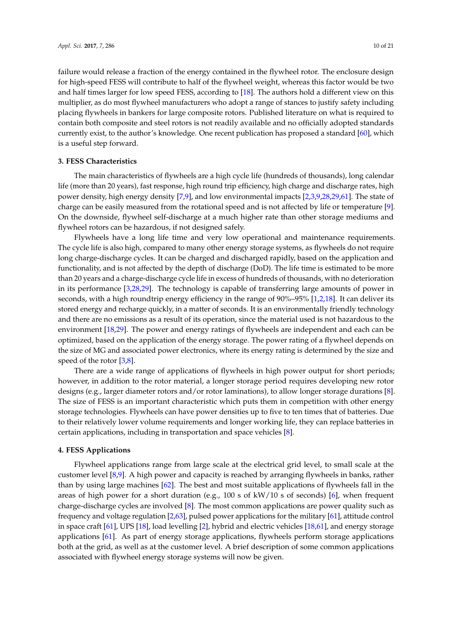failure would release a fraction of the energy contained in the flywheel rotor. The enclosure design for high-speed FESS will contribute to half of the flywheel weight, whereas this factor would be two and half times larger for low speed FESS, according to [\[18\]](#page-16-16). The authors hold a different view on this multiplier, as do most flywheel manufacturers who adopt a range of stances to justify safety including placing flywheels in bankers for large composite rotors. Published literature on what is required to contain both composite and steel rotors is not readily available and no officially adopted standards currently exist, to the author's knowledge. One recent publication has proposed a standard [\[60\]](#page-18-18), which is a useful step forward.

# <span id="page-9-0"></span>**3. FESS Characteristics**

The main characteristics of flywheels are a high cycle life (hundreds of thousands), long calendar life (more than 20 years), fast response, high round trip efficiency, high charge and discharge rates, high power density, high energy density [\[7,](#page-16-6)[9\]](#page-16-8), and low environmental impacts [\[2,](#page-16-1)[3,](#page-16-3)[9](#page-16-8)[,28](#page-17-8)[,29](#page-17-9)[,61\]](#page-18-19). The state of charge can be easily measured from the rotational speed and is not affected by life or temperature [\[9\]](#page-16-8). On the downside, flywheel self-discharge at a much higher rate than other storage mediums and flywheel rotors can be hazardous, if not designed safely.

Flywheels have a long life time and very low operational and maintenance requirements. The cycle life is also high, compared to many other energy storage systems, as flywheels do not require long charge-discharge cycles. It can be charged and discharged rapidly, based on the application and functionality, and is not affected by the depth of discharge (DoD). The life time is estimated to be more than 20 years and a charge-discharge cycle life in excess of hundreds of thousands, with no deterioration in its performance [\[3](#page-16-3)[,28](#page-17-8)[,29\]](#page-17-9). The technology is capable of transferring large amounts of power in seconds, with a high roundtrip energy efficiency in the range of 90%–95% [\[1](#page-16-0)[,2](#page-16-1)[,18\]](#page-16-16). It can deliver its stored energy and recharge quickly, in a matter of seconds. It is an environmentally friendly technology and there are no emissions as a result of its operation, since the material used is not hazardous to the environment [\[18,](#page-16-16)[29\]](#page-17-9). The power and energy ratings of flywheels are independent and each can be optimized, based on the application of the energy storage. The power rating of a flywheel depends on the size of MG and associated power electronics, where its energy rating is determined by the size and speed of the rotor [\[3,](#page-16-3)[8\]](#page-16-7).

There are a wide range of applications of flywheels in high power output for short periods; however, in addition to the rotor material, a longer storage period requires developing new rotor designs (e.g., larger diameter rotors and/or rotor laminations), to allow longer storage durations [\[8\]](#page-16-7). The size of FESS is an important characteristic which puts them in competition with other energy storage technologies. Flywheels can have power densities up to five to ten times that of batteries. Due to their relatively lower volume requirements and longer working life, they can replace batteries in certain applications, including in transportation and space vehicles [\[8\]](#page-16-7).

#### <span id="page-9-1"></span>**4. FESS Applications**

Flywheel applications range from large scale at the electrical grid level, to small scale at the customer level [\[8,](#page-16-7)[9\]](#page-16-8). A high power and capacity is reached by arranging flywheels in banks, rather than by using large machines [\[62\]](#page-18-20). The best and most suitable applications of flywheels fall in the areas of high power for a short duration (e.g., 100 s of kW/10 s of seconds) [\[6\]](#page-16-5), when frequent charge-discharge cycles are involved [\[8\]](#page-16-7). The most common applications are power quality such as frequency and voltage regulation [\[2,](#page-16-1)[63\]](#page-18-21), pulsed power applications for the military [\[61\]](#page-18-19), attitude control in space craft [\[61\]](#page-18-19), UPS [\[18\]](#page-16-16), load levelling [\[2\]](#page-16-1), hybrid and electric vehicles [\[18,](#page-16-16)[61\]](#page-18-19), and energy storage applications [\[61\]](#page-18-19). As part of energy storage applications, flywheels perform storage applications both at the grid, as well as at the customer level. A brief description of some common applications associated with flywheel energy storage systems will now be given.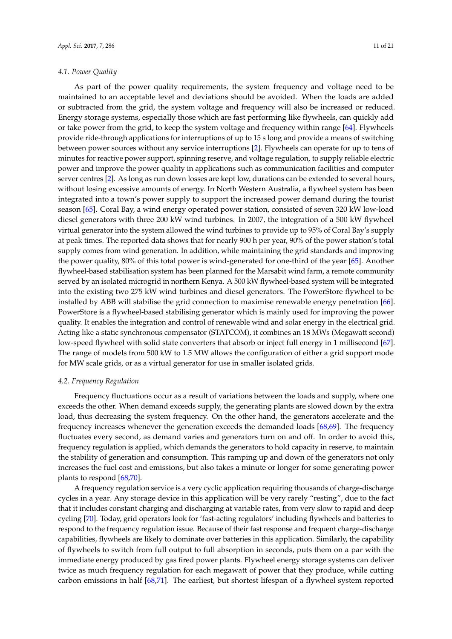As part of the power quality requirements, the system frequency and voltage need to be maintained to an acceptable level and deviations should be avoided. When the loads are added or subtracted from the grid, the system voltage and frequency will also be increased or reduced. Energy storage systems, especially those which are fast performing like flywheels, can quickly add or take power from the grid, to keep the system voltage and frequency within range [\[64\]](#page-19-0). Flywheels provide ride-through applications for interruptions of up to 15 s long and provide a means of switching between power sources without any service interruptions [\[2\]](#page-16-1). Flywheels can operate for up to tens of minutes for reactive power support, spinning reserve, and voltage regulation, to supply reliable electric power and improve the power quality in applications such as communication facilities and computer server centres [\[2\]](#page-16-1). As long as run down losses are kept low, durations can be extended to several hours, without losing excessive amounts of energy. In North Western Australia, a flywheel system has been integrated into a town's power supply to support the increased power demand during the tourist season [\[65\]](#page-19-1). Coral Bay, a wind energy operated power station, consisted of seven 320 kW low-load diesel generators with three 200 kW wind turbines. In 2007, the integration of a 500 kW flywheel virtual generator into the system allowed the wind turbines to provide up to 95% of Coral Bay's supply at peak times. The reported data shows that for nearly 900 h per year, 90% of the power station's total supply comes from wind generation. In addition, while maintaining the grid standards and improving the power quality, 80% of this total power is wind-generated for one-third of the year [\[65\]](#page-19-1). Another flywheel-based stabilisation system has been planned for the Marsabit wind farm, a remote community served by an isolated microgrid in northern Kenya. A 500 kW flywheel-based system will be integrated into the existing two 275 kW wind turbines and diesel generators. The PowerStore flywheel to be installed by ABB will stabilise the grid connection to maximise renewable energy penetration [\[66\]](#page-19-2). PowerStore is a flywheel-based stabilising generator which is mainly used for improving the power quality. It enables the integration and control of renewable wind and solar energy in the electrical grid. Acting like a static synchronous compensator (STATCOM), it combines an 18 MWs (Megawatt second) low-speed flywheel with solid state converters that absorb or inject full energy in 1 millisecond [\[67\]](#page-19-3). The range of models from 500 kW to 1.5 MW allows the configuration of either a grid support mode for MW scale grids, or as a virtual generator for use in smaller isolated grids.

#### *4.2. Frequency Regulation*

Frequency fluctuations occur as a result of variations between the loads and supply, where one exceeds the other. When demand exceeds supply, the generating plants are slowed down by the extra load, thus decreasing the system frequency. On the other hand, the generators accelerate and the frequency increases whenever the generation exceeds the demanded loads [\[68,](#page-19-4)[69\]](#page-19-5). The frequency fluctuates every second, as demand varies and generators turn on and off. In order to avoid this, frequency regulation is applied, which demands the generators to hold capacity in reserve, to maintain the stability of generation and consumption. This ramping up and down of the generators not only increases the fuel cost and emissions, but also takes a minute or longer for some generating power plants to respond [\[68](#page-19-4)[,70\]](#page-19-6).

A frequency regulation service is a very cyclic application requiring thousands of charge-discharge cycles in a year. Any storage device in this application will be very rarely "resting", due to the fact that it includes constant charging and discharging at variable rates, from very slow to rapid and deep cycling [\[70\]](#page-19-6). Today, grid operators look for 'fast-acting regulators' including flywheels and batteries to respond to the frequency regulation issue. Because of their fast response and frequent charge-discharge capabilities, flywheels are likely to dominate over batteries in this application. Similarly, the capability of flywheels to switch from full output to full absorption in seconds, puts them on a par with the immediate energy produced by gas fired power plants. Flywheel energy storage systems can deliver twice as much frequency regulation for each megawatt of power that they produce, while cutting carbon emissions in half [\[68,](#page-19-4)[71\]](#page-19-7). The earliest, but shortest lifespan of a flywheel system reported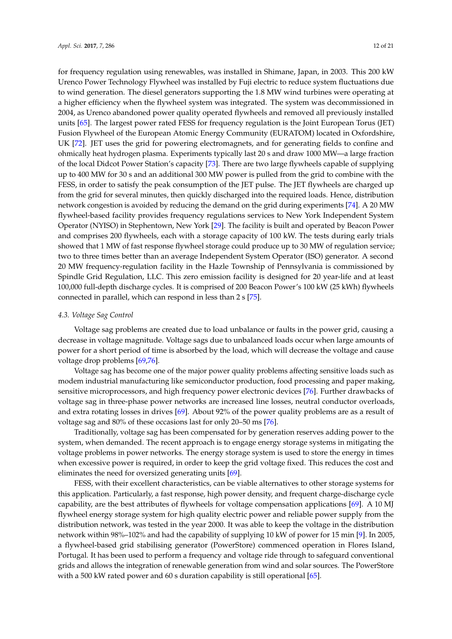for frequency regulation using renewables, was installed in Shimane, Japan, in 2003. This 200 kW Urenco Power Technology Flywheel was installed by Fuji electric to reduce system fluctuations due to wind generation. The diesel generators supporting the 1.8 MW wind turbines were operating at a higher efficiency when the flywheel system was integrated. The system was decommissioned in 2004, as Urenco abandoned power quality operated flywheels and removed all previously installed units [\[65\]](#page-19-1). The largest power rated FESS for frequency regulation is the Joint European Torus (JET) Fusion Flywheel of the European Atomic Energy Community (EURATOM) located in Oxfordshire, UK [\[72\]](#page-19-8). JET uses the grid for powering electromagnets, and for generating fields to confine and ohmically heat hydrogen plasma. Experiments typically last 20 s and draw 1000 MW—a large fraction of the local Didcot Power Station's capacity [\[73\]](#page-19-9). There are two large flywheels capable of supplying up to 400 MW for 30 s and an additional 300 MW power is pulled from the grid to combine with the FESS, in order to satisfy the peak consumption of the JET pulse. The JET flywheels are charged up from the grid for several minutes, then quickly discharged into the required loads. Hence, distribution network congestion is avoided by reducing the demand on the grid during experiments [\[74\]](#page-19-10). A 20 MW flywheel-based facility provides frequency regulations services to New York Independent System Operator (NYISO) in Stephentown, New York [\[29\]](#page-17-9). The facility is built and operated by Beacon Power and comprises 200 flywheels, each with a storage capacity of 100 kW. The tests during early trials showed that 1 MW of fast response flywheel storage could produce up to 30 MW of regulation service; two to three times better than an average Independent System Operator (ISO) generator. A second 20 MW frequency-regulation facility in the Hazle Township of Pennsylvania is commissioned by Spindle Grid Regulation, LLC. This zero emission facility is designed for 20 year-life and at least 100,000 full-depth discharge cycles. It is comprised of 200 Beacon Power's 100 kW (25 kWh) flywheels connected in parallel, which can respond in less than 2 s [\[75\]](#page-19-11).

#### *4.3. Voltage Sag Control*

Voltage sag problems are created due to load unbalance or faults in the power grid, causing a decrease in voltage magnitude. Voltage sags due to unbalanced loads occur when large amounts of power for a short period of time is absorbed by the load, which will decrease the voltage and cause voltage drop problems [\[69,](#page-19-5)[76\]](#page-19-12).

Voltage sag has become one of the major power quality problems affecting sensitive loads such as modem industrial manufacturing like semiconductor production, food processing and paper making, sensitive microprocessors, and high frequency power electronic devices [\[76\]](#page-19-12). Further drawbacks of voltage sag in three-phase power networks are increased line losses, neutral conductor overloads, and extra rotating losses in drives [\[69\]](#page-19-5). About 92% of the power quality problems are as a result of voltage sag and 80% of these occasions last for only 20–50 ms [\[76\]](#page-19-12).

Traditionally, voltage sag has been compensated for by generation reserves adding power to the system, when demanded. The recent approach is to engage energy storage systems in mitigating the voltage problems in power networks. The energy storage system is used to store the energy in times when excessive power is required, in order to keep the grid voltage fixed. This reduces the cost and eliminates the need for oversized generating units [\[69\]](#page-19-5).

FESS, with their excellent characteristics, can be viable alternatives to other storage systems for this application. Particularly, a fast response, high power density, and frequent charge-discharge cycle capability, are the best attributes of flywheels for voltage compensation applications [\[69\]](#page-19-5). A 10 MJ flywheel energy storage system for high quality electric power and reliable power supply from the distribution network, was tested in the year 2000. It was able to keep the voltage in the distribution network within 98%–102% and had the capability of supplying 10 kW of power for 15 min [\[9\]](#page-16-8). In 2005, a flywheel-based grid stabilising generator (PowerStore) commenced operation in Flores Island, Portugal. It has been used to perform a frequency and voltage ride through to safeguard conventional grids and allows the integration of renewable generation from wind and solar sources. The PowerStore with a 500 kW rated power and 60 s duration capability is still operational [\[65\]](#page-19-1).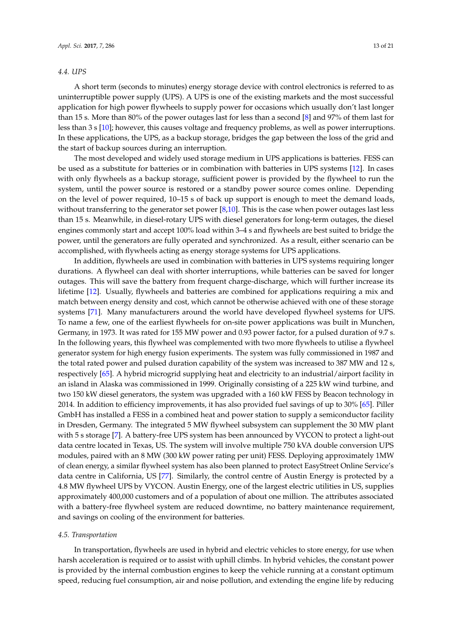#### *4.4. UPS*

A short term (seconds to minutes) energy storage device with control electronics is referred to as uninterruptible power supply (UPS). A UPS is one of the existing markets and the most successful application for high power flywheels to supply power for occasions which usually don't last longer than 15 s. More than 80% of the power outages last for less than a second [\[8\]](#page-16-7) and 97% of them last for less than 3 s [\[10\]](#page-16-9); however, this causes voltage and frequency problems, as well as power interruptions. In these applications, the UPS, as a backup storage, bridges the gap between the loss of the grid and the start of backup sources during an interruption.

The most developed and widely used storage medium in UPS applications is batteries. FESS can be used as a substitute for batteries or in combination with batteries in UPS systems [\[12\]](#page-16-10). In cases with only flywheels as a backup storage, sufficient power is provided by the flywheel to run the system, until the power source is restored or a standby power source comes online. Depending on the level of power required, 10–15 s of back up support is enough to meet the demand loads, without transferring to the generator set power [\[8,](#page-16-7)[10\]](#page-16-9). This is the case when power outages last less than 15 s. Meanwhile, in diesel-rotary UPS with diesel generators for long-term outages, the diesel engines commonly start and accept 100% load within 3–4 s and flywheels are best suited to bridge the power, until the generators are fully operated and synchronized. As a result, either scenario can be accomplished, with flywheels acting as energy storage systems for UPS applications.

In addition, flywheels are used in combination with batteries in UPS systems requiring longer durations. A flywheel can deal with shorter interruptions, while batteries can be saved for longer outages. This will save the battery from frequent charge-discharge, which will further increase its lifetime [\[12\]](#page-16-10). Usually, flywheels and batteries are combined for applications requiring a mix and match between energy density and cost, which cannot be otherwise achieved with one of these storage systems [\[71\]](#page-19-7). Many manufacturers around the world have developed flywheel systems for UPS. To name a few, one of the earliest flywheels for on-site power applications was built in Munchen, Germany, in 1973. It was rated for 155 MW power and 0.93 power factor, for a pulsed duration of 9.7 s. In the following years, this flywheel was complemented with two more flywheels to utilise a flywheel generator system for high energy fusion experiments. The system was fully commissioned in 1987 and the total rated power and pulsed duration capability of the system was increased to 387 MW and 12 s, respectively [\[65\]](#page-19-1). A hybrid microgrid supplying heat and electricity to an industrial/airport facility in an island in Alaska was commissioned in 1999. Originally consisting of a 225 kW wind turbine, and two 150 kW diesel generators, the system was upgraded with a 160 kW FESS by Beacon technology in 2014. In addition to efficiency improvements, it has also provided fuel savings of up to 30% [\[65\]](#page-19-1). Piller GmbH has installed a FESS in a combined heat and power station to supply a semiconductor facility in Dresden, Germany. The integrated 5 MW flywheel subsystem can supplement the 30 MW plant with 5 s storage [\[7\]](#page-16-6). A battery-free UPS system has been announced by VYCON to protect a light-out data centre located in Texas, US. The system will involve multiple 750 kVA double conversion UPS modules, paired with an 8 MW (300 kW power rating per unit) FESS. Deploying approximately 1MW of clean energy, a similar flywheel system has also been planned to protect EasyStreet Online Service's data centre in California, US [\[77\]](#page-19-13). Similarly, the control centre of Austin Energy is protected by a 4.8 MW flywheel UPS by VYCON. Austin Energy, one of the largest electric utilities in US, supplies approximately 400,000 customers and of a population of about one million. The attributes associated with a battery-free flywheel system are reduced downtime, no battery maintenance requirement, and savings on cooling of the environment for batteries.

# *4.5. Transportation*

In transportation, flywheels are used in hybrid and electric vehicles to store energy, for use when harsh acceleration is required or to assist with uphill climbs. In hybrid vehicles, the constant power is provided by the internal combustion engines to keep the vehicle running at a constant optimum speed, reducing fuel consumption, air and noise pollution, and extending the engine life by reducing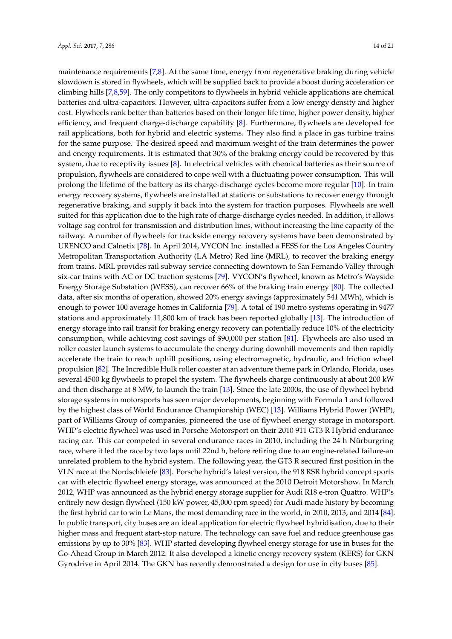maintenance requirements [\[7,](#page-16-6)[8\]](#page-16-7). At the same time, energy from regenerative braking during vehicle slowdown is stored in flywheels, which will be supplied back to provide a boost during acceleration or climbing hills [\[7,](#page-16-6)[8,](#page-16-7)[59\]](#page-18-17). The only competitors to flywheels in hybrid vehicle applications are chemical batteries and ultra-capacitors. However, ultra-capacitors suffer from a low energy density and higher cost. Flywheels rank better than batteries based on their longer life time, higher power density, higher efficiency, and frequent charge-discharge capability [\[8\]](#page-16-7). Furthermore, flywheels are developed for rail applications, both for hybrid and electric systems. They also find a place in gas turbine trains for the same purpose. The desired speed and maximum weight of the train determines the power and energy requirements. It is estimated that 30% of the braking energy could be recovered by this system, due to receptivity issues [\[8\]](#page-16-7). In electrical vehicles with chemical batteries as their source of propulsion, flywheels are considered to cope well with a fluctuating power consumption. This will prolong the lifetime of the battery as its charge-discharge cycles become more regular [\[10\]](#page-16-9). In train energy recovery systems, flywheels are installed at stations or substations to recover energy through regenerative braking, and supply it back into the system for traction purposes. Flywheels are well suited for this application due to the high rate of charge-discharge cycles needed. In addition, it allows voltage sag control for transmission and distribution lines, without increasing the line capacity of the railway. A number of flywheels for trackside energy recovery systems have been demonstrated by URENCO and Calnetix [\[78\]](#page-19-14). In April 2014, VYCON Inc. installed a FESS for the Los Angeles Country Metropolitan Transportation Authority (LA Metro) Red line (MRL), to recover the braking energy from trains. MRL provides rail subway service connecting downtown to San Fernando Valley through six-car trains with AC or DC traction systems [\[79\]](#page-19-15). VYCON's flywheel, known as Metro's Wayside Energy Storage Substation (WESS), can recover 66% of the braking train energy [\[80\]](#page-19-16). The collected data, after six months of operation, showed 20% energy savings (approximately 541 MWh), which is enough to power 100 average homes in California [\[79\]](#page-19-15). A total of 190 metro systems operating in 9477 stations and approximately 11,800 km of track has been reported globally [\[13\]](#page-16-11). The introduction of energy storage into rail transit for braking energy recovery can potentially reduce 10% of the electricity consumption, while achieving cost savings of \$90,000 per station [\[81\]](#page-19-17). Flywheels are also used in roller coaster launch systems to accumulate the energy during downhill movements and then rapidly accelerate the train to reach uphill positions, using electromagnetic, hydraulic, and friction wheel propulsion [\[82\]](#page-19-18). The Incredible Hulk roller coaster at an adventure theme park in Orlando, Florida, uses several 4500 kg flywheels to propel the system. The flywheels charge continuously at about 200 kW and then discharge at 8 MW, to launch the train [\[13\]](#page-16-11). Since the late 2000s, the use of flywheel hybrid storage systems in motorsports has seen major developments, beginning with Formula 1 and followed by the highest class of World Endurance Championship (WEC) [\[13\]](#page-16-11). Williams Hybrid Power (WHP), part of Williams Group of companies, pioneered the use of flywheel energy storage in motorsport. WHP's electric flywheel was used in Porsche Motorsport on their 2010 911 GT3 R Hybrid endurance racing car. This car competed in several endurance races in 2010, including the 24 h Nürburgring race, where it led the race by two laps until 22nd h, before retiring due to an engine-related failure-an unrelated problem to the hybrid system. The following year, the GT3 R secured first position in the VLN race at the Nordschleiefe [\[83\]](#page-19-19). Porsche hybrid's latest version, the 918 RSR hybrid concept sports car with electric flywheel energy storage, was announced at the 2010 Detroit Motorshow. In March 2012, WHP was announced as the hybrid energy storage supplier for Audi R18 e-tron Quattro. WHP's entirely new design flywheel (150 kW power, 45,000 rpm speed) for Audi made history by becoming the first hybrid car to win Le Mans, the most demanding race in the world, in 2010, 2013, and 2014 [\[84\]](#page-19-20). In public transport, city buses are an ideal application for electric flywheel hybridisation, due to their higher mass and frequent start-stop nature. The technology can save fuel and reduce greenhouse gas emissions by up to 30% [\[83\]](#page-19-19). WHP started developing flywheel energy storage for use in buses for the Go-Ahead Group in March 2012. It also developed a kinetic energy recovery system (KERS) for GKN Gyrodrive in April 2014. The GKN has recently demonstrated a design for use in city buses [\[85\]](#page-19-21).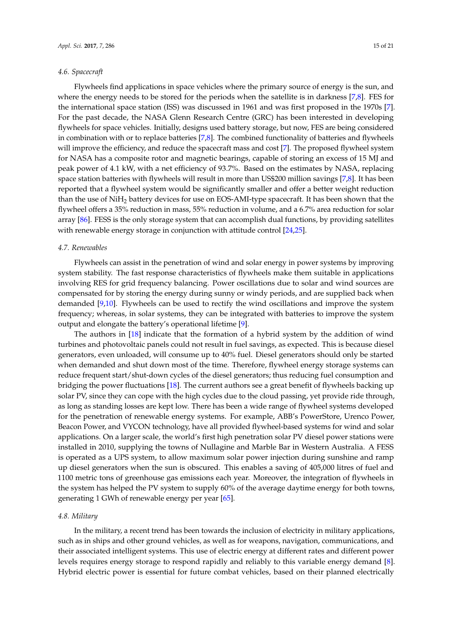#### *4.6. Spacecraft*

Flywheels find applications in space vehicles where the primary source of energy is the sun, and where the energy needs to be stored for the periods when the satellite is in darkness [\[7](#page-16-6)[,8\]](#page-16-7). FES for the international space station (ISS) was discussed in 1961 and was first proposed in the 1970s [\[7\]](#page-16-6). For the past decade, the NASA Glenn Research Centre (GRC) has been interested in developing flywheels for space vehicles. Initially, designs used battery storage, but now, FES are being considered in combination with or to replace batteries [\[7](#page-16-6)[,8\]](#page-16-7). The combined functionality of batteries and flywheels will improve the efficiency, and reduce the spacecraft mass and cost [\[7\]](#page-16-6). The proposed flywheel system for NASA has a composite rotor and magnetic bearings, capable of storing an excess of 15 MJ and peak power of 4.1 kW, with a net efficiency of 93.7%. Based on the estimates by NASA, replacing space station batteries with flywheels will result in more than US\$200 million savings [\[7](#page-16-6)[,8\]](#page-16-7). It has been reported that a flywheel system would be significantly smaller and offer a better weight reduction than the use of  $NiH<sub>2</sub>$  battery devices for use on EOS-AMI-type spacecraft. It has been shown that the flywheel offers a 35% reduction in mass, 55% reduction in volume, and a 6.7% area reduction for solar array [\[86\]](#page-20-0). FESS is the only storage system that can accomplish dual functions, by providing satellites with renewable energy storage in conjunction with attitude control [\[24](#page-17-4)[,25\]](#page-17-5).

#### *4.7. Renewables*

Flywheels can assist in the penetration of wind and solar energy in power systems by improving system stability. The fast response characteristics of flywheels make them suitable in applications involving RES for grid frequency balancing. Power oscillations due to solar and wind sources are compensated for by storing the energy during sunny or windy periods, and are supplied back when demanded [\[9](#page-16-8)[,10\]](#page-16-9). Flywheels can be used to rectify the wind oscillations and improve the system frequency; whereas, in solar systems, they can be integrated with batteries to improve the system output and elongate the battery's operational lifetime [\[9\]](#page-16-8).

The authors in [\[18\]](#page-16-16) indicate that the formation of a hybrid system by the addition of wind turbines and photovoltaic panels could not result in fuel savings, as expected. This is because diesel generators, even unloaded, will consume up to 40% fuel. Diesel generators should only be started when demanded and shut down most of the time. Therefore, flywheel energy storage systems can reduce frequent start/shut-down cycles of the diesel generators; thus reducing fuel consumption and bridging the power fluctuations [\[18\]](#page-16-16). The current authors see a great benefit of flywheels backing up solar PV, since they can cope with the high cycles due to the cloud passing, yet provide ride through, as long as standing losses are kept low. There has been a wide range of flywheel systems developed for the penetration of renewable energy systems. For example, ABB's PowerStore, Urenco Power, Beacon Power, and VYCON technology, have all provided flywheel-based systems for wind and solar applications. On a larger scale, the world's first high penetration solar PV diesel power stations were installed in 2010, supplying the towns of Nullagine and Marble Bar in Western Australia. A FESS is operated as a UPS system, to allow maximum solar power injection during sunshine and ramp up diesel generators when the sun is obscured. This enables a saving of 405,000 litres of fuel and 1100 metric tons of greenhouse gas emissions each year. Moreover, the integration of flywheels in the system has helped the PV system to supply 60% of the average daytime energy for both towns, generating 1 GWh of renewable energy per year [\[65\]](#page-19-1).

#### *4.8. Military*

In the military, a recent trend has been towards the inclusion of electricity in military applications, such as in ships and other ground vehicles, as well as for weapons, navigation, communications, and their associated intelligent systems. This use of electric energy at different rates and different power levels requires energy storage to respond rapidly and reliably to this variable energy demand [\[8\]](#page-16-7). Hybrid electric power is essential for future combat vehicles, based on their planned electrically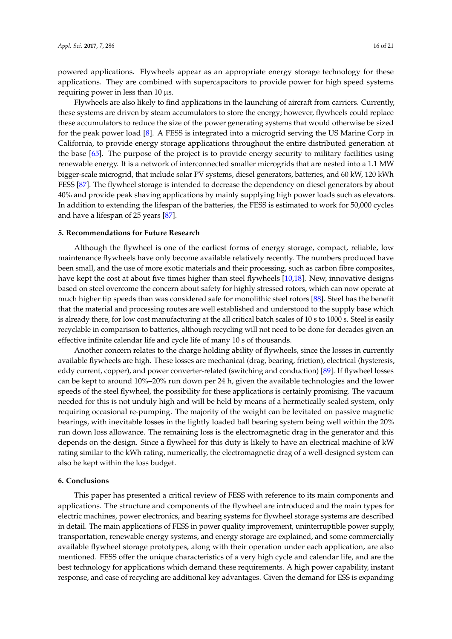powered applications. Flywheels appear as an appropriate energy storage technology for these applications. They are combined with supercapacitors to provide power for high speed systems requiring power in less than 10  $\mu$ s.

Flywheels are also likely to find applications in the launching of aircraft from carriers. Currently, these systems are driven by steam accumulators to store the energy; however, flywheels could replace these accumulators to reduce the size of the power generating systems that would otherwise be sized for the peak power load [\[8\]](#page-16-7). A FESS is integrated into a microgrid serving the US Marine Corp in California, to provide energy storage applications throughout the entire distributed generation at the base [\[65\]](#page-19-1). The purpose of the project is to provide energy security to military facilities using renewable energy. It is a network of interconnected smaller microgrids that are nested into a 1.1 MW bigger-scale microgrid, that include solar PV systems, diesel generators, batteries, and 60 kW, 120 kWh FESS [\[87\]](#page-20-1). The flywheel storage is intended to decrease the dependency on diesel generators by about 40% and provide peak shaving applications by mainly supplying high power loads such as elevators. In addition to extending the lifespan of the batteries, the FESS is estimated to work for 50,000 cycles and have a lifespan of 25 years [\[87\]](#page-20-1).

#### <span id="page-15-0"></span>**5. Recommendations for Future Research**

Although the flywheel is one of the earliest forms of energy storage, compact, reliable, low maintenance flywheels have only become available relatively recently. The numbers produced have been small, and the use of more exotic materials and their processing, such as carbon fibre composites, have kept the cost at about five times higher than steel flywheels [\[10,](#page-16-9)[18\]](#page-16-16). New, innovative designs based on steel overcome the concern about safety for highly stressed rotors, which can now operate at much higher tip speeds than was considered safe for monolithic steel rotors [\[88\]](#page-20-2). Steel has the benefit that the material and processing routes are well established and understood to the supply base which is already there, for low cost manufacturing at the all critical batch scales of 10 s to 1000 s. Steel is easily recyclable in comparison to batteries, although recycling will not need to be done for decades given an effective infinite calendar life and cycle life of many 10 s of thousands.

Another concern relates to the charge holding ability of flywheels, since the losses in currently available flywheels are high. These losses are mechanical (drag, bearing, friction), electrical (hysteresis, eddy current, copper), and power converter-related (switching and conduction) [\[89\]](#page-20-3). If flywheel losses can be kept to around 10%–20% run down per 24 h, given the available technologies and the lower speeds of the steel flywheel, the possibility for these applications is certainly promising. The vacuum needed for this is not unduly high and will be held by means of a hermetically sealed system, only requiring occasional re-pumping. The majority of the weight can be levitated on passive magnetic bearings, with inevitable losses in the lightly loaded ball bearing system being well within the 20% run down loss allowance. The remaining loss is the electromagnetic drag in the generator and this depends on the design. Since a flywheel for this duty is likely to have an electrical machine of kW rating similar to the kWh rating, numerically, the electromagnetic drag of a well-designed system can also be kept within the loss budget.

#### **6. Conclusions**

This paper has presented a critical review of FESS with reference to its main components and applications. The structure and components of the flywheel are introduced and the main types for electric machines, power electronics, and bearing systems for flywheel storage systems are described in detail. The main applications of FESS in power quality improvement, uninterruptible power supply, transportation, renewable energy systems, and energy storage are explained, and some commercially available flywheel storage prototypes, along with their operation under each application, are also mentioned. FESS offer the unique characteristics of a very high cycle and calendar life, and are the best technology for applications which demand these requirements. A high power capability, instant response, and ease of recycling are additional key advantages. Given the demand for ESS is expanding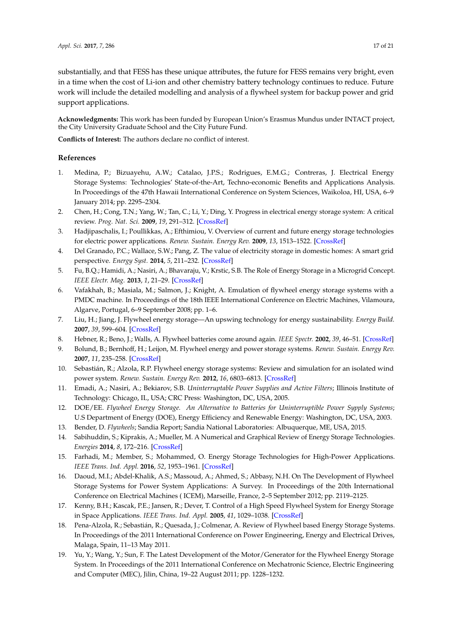substantially, and that FESS has these unique attributes, the future for FESS remains very bright, even in a time when the cost of Li-ion and other chemistry battery technology continues to reduce. Future work will include the detailed modelling and analysis of a flywheel system for backup power and grid support applications.

**Acknowledgments:** This work has been funded by European Union's Erasmus Mundus under INTACT project, the City University Graduate School and the City Future Fund.

**Conflicts of Interest:** The authors declare no conflict of interest.

# **References**

- <span id="page-16-0"></span>1. Medina, P.; Bizuayehu, A.W.; Catalao, J.P.S.; Rodrigues, E.M.G.; Contreras, J. Electrical Energy Storage Systems: Technologies' State-of-the-Art, Techno-economic Benefits and Applications Analysis. In Proceedings of the 47th Hawaii International Conference on System Sciences, Waikoloa, HI, USA, 6–9 January 2014; pp. 2295–2304.
- <span id="page-16-1"></span>2. Chen, H.; Cong, T.N.; Yang, W.; Tan, C.; Li, Y.; Ding, Y. Progress in electrical energy storage system: A critical review. *Prog. Nat. Sci.* **2009**, *19*, 291–312. [\[CrossRef\]](http://dx.doi.org/10.1016/j.pnsc.2008.07.014)
- <span id="page-16-3"></span>3. Hadjipaschalis, I.; Poullikkas, A.; Efthimiou, V. Overview of current and future energy storage technologies for electric power applications. *Renew. Sustain. Energy Rev.* **2009**, *13*, 1513–1522. [\[CrossRef\]](http://dx.doi.org/10.1016/j.rser.2008.09.028)
- <span id="page-16-2"></span>4. Del Granado, P.C.; Wallace, S.W.; Pang, Z. The value of electricity storage in domestic homes: A smart grid perspective. *Energy Syst.* **2014**, *5*, 211–232. [\[CrossRef\]](http://dx.doi.org/10.1007/s12667-013-0108-y)
- <span id="page-16-4"></span>5. Fu, B.Q.; Hamidi, A.; Nasiri, A.; Bhavaraju, V.; Krstic, S.B. The Role of Energy Storage in a Microgrid Concept. *IEEE Electr. Mag.* **2013**, *1*, 21–29. [\[CrossRef\]](http://dx.doi.org/10.1109/MELE.2013.2294736)
- <span id="page-16-5"></span>6. Vafakhah, B.; Masiala, M.; Salmon, J.; Knight, A. Emulation of flywheel energy storage systems with a PMDC machine. In Proceedings of the 18th IEEE International Conference on Electric Machines, Vilamoura, Algarve, Portugal, 6–9 September 2008; pp. 1–6.
- <span id="page-16-6"></span>7. Liu, H.; Jiang, J. Flywheel energy storage—An upswing technology for energy sustainability. *Energy Build.* **2007**, *39*, 599–604. [\[CrossRef\]](http://dx.doi.org/10.1016/j.enbuild.2006.10.001)
- <span id="page-16-7"></span>8. Hebner, R.; Beno, J.; Walls, A. Flywheel batteries come around again. *IEEE Spectr.* **2002**, *39*, 46–51. [\[CrossRef\]](http://dx.doi.org/10.1109/6.993788)
- <span id="page-16-8"></span>9. Bolund, B.; Bernhoff, H.; Leijon, M. Flywheel energy and power storage systems. *Renew. Sustain. Energy Rev.* **2007**, *11*, 235–258. [\[CrossRef\]](http://dx.doi.org/10.1016/j.rser.2005.01.004)
- <span id="page-16-9"></span>10. Sebastián, R.; Alzola, R.P. Flywheel energy storage systems: Review and simulation for an isolated wind power system. *Renew. Sustain. Energy Rev.* **2012**, *16*, 6803–6813. [\[CrossRef\]](http://dx.doi.org/10.1016/j.rser.2012.08.008)
- 11. Emadi, A.; Nasiri, A.; Bekiarov, S.B. *Uninterruptable Power Supplies and Active Filters*; Illinois Institute of Technology: Chicago, IL, USA; CRC Press: Washington, DC, USA, 2005.
- <span id="page-16-10"></span>12. DOE/EE. *Flywheel Energy Storage. An Alternative to Batteries for Uninterruptible Power Sypply Systems*; U.S Department of Energy (DOE), Energy Efficiency and Renewable Energy: Washington, DC, USA, 2003.
- <span id="page-16-11"></span>13. Bender, D. *Flywheels*; Sandia Report; Sandia National Laboratories: Albuquerque, ME, USA, 2015.
- <span id="page-16-12"></span>14. Sabihuddin, S.; Kiprakis, A.; Mueller, M. A Numerical and Graphical Review of Energy Storage Technologies. *Energies* **2014**, *8*, 172–216. [\[CrossRef\]](http://dx.doi.org/10.3390/en8010172)
- <span id="page-16-13"></span>15. Farhadi, M.; Member, S.; Mohammed, O. Energy Storage Technologies for High-Power Applications. *IEEE Trans. Ind. Appl.* **2016**, *52*, 1953–1961. [\[CrossRef\]](http://dx.doi.org/10.1109/TIA.2015.2511096)
- <span id="page-16-14"></span>16. Daoud, M.I.; Abdel-Khalik, A.S.; Massoud, A.; Ahmed, S.; Abbasy, N.H. On The Development of Flywheel Storage Systems for Power System Applications: A Survey. In Proceedings of the 20th International Conference on Electrical Machines ( ICEM), Marseille, France, 2–5 September 2012; pp. 2119–2125.
- <span id="page-16-15"></span>17. Kenny, B.H.; Kascak, P.E.; Jansen, R.; Dever, T. Control of a High Speed Flywheel System for Energy Storage in Space Applications. *IEEE Trans. Ind. Appl.* **2005**, *41*, 1029–1038. [\[CrossRef\]](http://dx.doi.org/10.1109/TIA.2005.851021)
- <span id="page-16-16"></span>18. Pena-Alzola, R.; Sebastián, R.; Quesada, J.; Colmenar, A. Review of Flywheel based Energy Storage Systems. In Proceedings of the 2011 International Conference on Power Engineering, Energy and Electrical Drives, Malaga, Spain, 11–13 May 2011.
- <span id="page-16-17"></span>19. Yu, Y.; Wang, Y.; Sun, F. The Latest Development of the Motor/Generator for the Flywheel Energy Storage System. In Proceedings of the 2011 International Conference on Mechatronic Science, Electric Engineering and Computer (MEC), Jilin, China, 19–22 August 2011; pp. 1228–1232.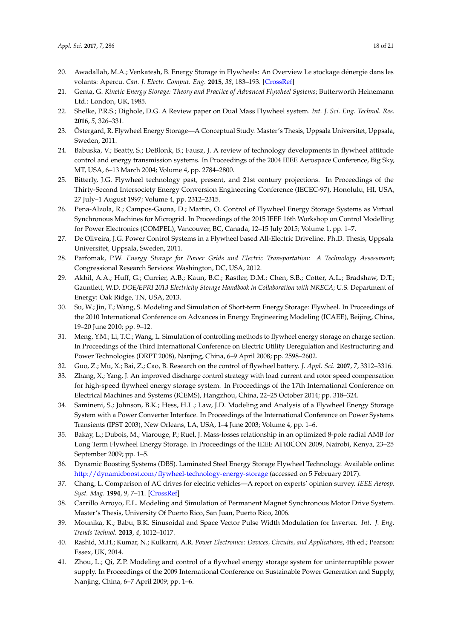- <span id="page-17-0"></span>20. Awadallah, M.A.; Venkatesh, B. Energy Storage in Flywheels: An Overview Le stockage dénergie dans les volants: Apercu. *Can. J. Electr. Comput. Eng.* **2015**, *38*, 183–193. [\[CrossRef\]](http://dx.doi.org/10.1109/CJECE.2015.2420995)
- <span id="page-17-1"></span>21. Genta, G. *Kinetic Energy Storage: Theory and Practice of Advanced Flywheel Systems*; Butterworth Heinemann Ltd.: London, UK, 1985.
- <span id="page-17-2"></span>22. Shelke, P.R.S.; Dighole, D.G. A Review paper on Dual Mass Flywheel system. *Int. J. Sci. Eng. Technol. Res.* **2016**, *5*, 326–331.
- <span id="page-17-3"></span>23. Östergard, R. Flywheel Energy Storage—A Conceptual Study. Master's Thesis, Uppsala Universitet, Uppsala, Sweden, 2011.
- <span id="page-17-4"></span>24. Babuska, V.; Beatty, S.; DeBlonk, B.; Fausz, J. A review of technology developments in flywheel attitude control and energy transmission systems. In Proceedings of the 2004 IEEE Aerospace Conference, Big Sky, MT, USA, 6–13 March 2004; Volume 4, pp. 2784–2800.
- <span id="page-17-5"></span>25. Bitterly, J.G. Flywheel technology past, present, and 21st century projections. In Proceedings of the Thirty-Second Intersociety Energy Conversion Engineering Conference (IECEC-97), Honolulu, HI, USA, 27 July–1 August 1997; Volume 4, pp. 2312–2315.
- <span id="page-17-6"></span>26. Pena-Alzola, R.; Campos-Gaona, D.; Martin, O. Control of Flywheel Energy Storage Systems as Virtual Synchronous Machines for Microgrid. In Proceedings of the 2015 IEEE 16th Workshop on Control Modelling for Power Electronics (COMPEL), Vancouver, BC, Canada, 12–15 July 2015; Volume 1, pp. 1–7.
- <span id="page-17-7"></span>27. De Oliveira, J.G. Power Control Systems in a Flywheel based All-Electric Driveline. Ph.D. Thesis, Uppsala Universitet, Uppsala, Sweden, 2011.
- <span id="page-17-8"></span>28. Parfomak, P.W. *Energy Storage for Power Grids and Electric Transportation: A Technology Assessment*; Congressional Research Services: Washington, DC, USA, 2012.
- <span id="page-17-9"></span>29. Akhil, A.A.; Huff, G.; Currier, A.B.; Kaun, B.C.; Rastler, D.M.; Chen, S.B.; Cotter, A.L.; Bradshaw, D.T.; Gauntlett, W.D. *DOE/EPRI 2013 Electricity Storage Handbook in Collaboration with NRECA*; U.S. Department of Energy: Oak Ridge, TN, USA, 2013.
- <span id="page-17-10"></span>30. Su, W.; Jin, T.; Wang, S. Modeling and Simulation of Short-term Energy Storage: Flywheel. In Proceedings of the 2010 International Conference on Advances in Energy Engineering Modeling (ICAEE), Beijing, China, 19–20 June 2010; pp. 9–12.
- 31. Meng, Y.M.; Li, T.C.; Wang, L. Simulation of controlling methods to flywheel energy storage on charge section. In Proceedings of the Third International Conference on Electric Utility Deregulation and Restructuring and Power Technologies (DRPT 2008), Nanjing, China, 6–9 April 2008; pp. 2598–2602.
- <span id="page-17-11"></span>32. Guo, Z.; Mu, X.; Bai, Z.; Cao, B. Research on the control of flywheel battery. *J. Appl. Sci.* **2007**, *7*, 3312–3316.
- 33. Zhang, X.; Yang, J. An improved discharge control strategy with load current and rotor speed compensation for high-speed flywheel energy storage system. In Proceedings of the 17th International Conference on Electrical Machines and Systems (ICEMS), Hangzhou, China, 22–25 October 2014; pp. 318–324.
- <span id="page-17-12"></span>34. Samineni, S.; Johnson, B.K.; Hess, H.L.; Law, J.D. Modeling and Analysis of a Flywheel Energy Storage System with a Power Converter Interface. In Proceedings of the International Conference on Power Systems Transients (IPST 2003), New Orleans, LA, USA, 1–4 June 2003; Volume 4, pp. 1–6.
- <span id="page-17-13"></span>35. Bakay, L.; Dubois, M.; Viarouge, P.; Ruel, J. Mass-losses relationship in an optimized 8-pole radial AMB for Long Term Flywheel Energy Storage. In Proceedings of the IEEE AFRICON 2009, Nairobi, Kenya, 23–25 September 2009; pp. 1–5.
- <span id="page-17-14"></span>36. Dynamic Boosting Systems (DBS). Laminated Steel Energy Storage Flywheel Technology. Available online: <http://dynamicboost.com/flywheel-technology-energy-storage> (accessed on 5 February 2017).
- <span id="page-17-15"></span>37. Chang, L. Comparison of AC drives for electric vehicles—A report on experts' opinion survey. *IEEE Aerosp. Syst. Mag.* **1994**, *9*, 7–11. [\[CrossRef\]](http://dx.doi.org/10.1109/62.311235)
- <span id="page-17-16"></span>38. Carrillo Arroyo, E.L. Modeling and Simulation of Permanent Magnet Synchronous Motor Drive System. Master's Thesis, University Of Puerto Rico, San Juan, Puerto Rico, 2006.
- <span id="page-17-17"></span>39. Mounika, K.; Babu, B.K. Sinusoidal and Space Vector Pulse Width Modulation for Inverter. *Int. J. Eng. Trends Technol.* **2013**, *4*, 1012–1017.
- <span id="page-17-18"></span>40. Rashid, M.H.; Kumar, N.; Kulkarni, A.R. *Power Electronics: Devices, Circuits, and Applications*, 4th ed.; Pearson: Essex, UK, 2014.
- <span id="page-17-19"></span>41. Zhou, L.; Qi, Z.P. Modeling and control of a flywheel energy storage system for uninterruptible power supply. In Proceedings of the 2009 International Conference on Sustainable Power Generation and Supply, Nanjing, China, 6–7 April 2009; pp. 1–6.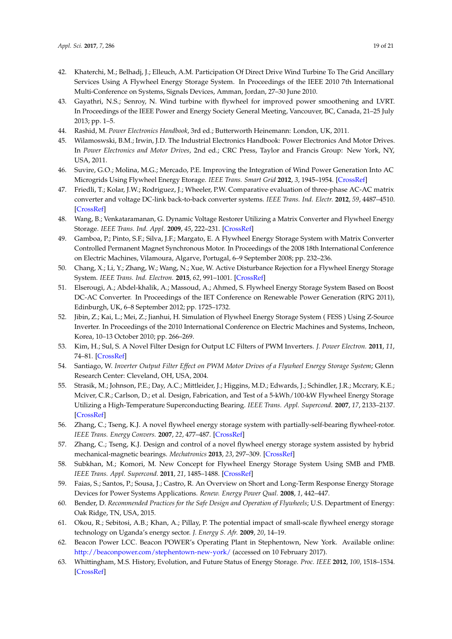- <span id="page-18-0"></span>42. Khaterchi, M.; Belhadj, J.; Elleuch, A.M. Participation Of Direct Drive Wind Turbine To The Grid Ancillary Services Using A Flywheel Energy Storage System. In Proceedings of the IEEE 2010 7th International Multi-Conference on Systems, Signals Devices, Amman, Jordan, 27–30 June 2010.
- <span id="page-18-1"></span>43. Gayathri, N.S.; Senroy, N. Wind turbine with flywheel for improved power smoothening and LVRT. In Proceedings of the IEEE Power and Energy Society General Meeting, Vancouver, BC, Canada, 21–25 July 2013; pp. 1–5.
- <span id="page-18-2"></span>44. Rashid, M. *Power Electronics Handbook*, 3rd ed.; Butterworth Heinemann: London, UK, 2011.
- <span id="page-18-3"></span>45. Wilamoswski, B.M.; Irwin, J.D. The Industrial Electronics Handbook: Power Electronics And Motor Drives. In *Power Electronics and Motor Drives*, 2nd ed.; CRC Press, Taylor and Francis Group: New York, NY, USA, 2011.
- <span id="page-18-4"></span>46. Suvire, G.O.; Molina, M.G.; Mercado, P.E. Improving the Integration of Wind Power Generation Into AC Microgrids Using Flywheel Energy Etorage. *IEEE Trans. Smart Grid* **2012**, *3*, 1945–1954. [\[CrossRef\]](http://dx.doi.org/10.1109/TSG.2012.2208769)
- <span id="page-18-5"></span>47. Friedli, T.; Kolar, J.W.; Rodriguez, J.; Wheeler, P.W. Comparative evaluation of three-phase AC-AC matrix converter and voltage DC-link back-to-back converter systems. *IEEE Trans. Ind. Electr.* **2012**, *59*, 4487–4510. [\[CrossRef\]](http://dx.doi.org/10.1109/TIE.2011.2179278)
- <span id="page-18-6"></span>48. Wang, B.; Venkataramanan, G. Dynamic Voltage Restorer Utilizing a Matrix Converter and Flywheel Energy Storage. *IEEE Trans. Ind. Appl.* **2009**, *45*, 222–231. [\[CrossRef\]](http://dx.doi.org/10.1109/TIA.2008.2009507)
- <span id="page-18-7"></span>49. Gamboa, P.; Pinto, S.F.; Silva, J.F.; Margato, E. A Flywheel Energy Storage System with Matrix Converter Controlled Permanent Magnet Synchronous Motor. In Proceedings of the 2008 18th International Conference on Electric Machines, Vilamoura, Algarve, Portugal, 6–9 September 2008; pp. 232–236.
- <span id="page-18-8"></span>50. Chang, X.; Li, Y.; Zhang, W.; Wang, N.; Xue, W. Active Disturbance Rejection for a Flywheel Energy Storage System. *IEEE Trans. Ind. Electron.* **2015**, *62*, 991–1001. [\[CrossRef\]](http://dx.doi.org/10.1109/TIE.2014.2336607)
- <span id="page-18-9"></span>51. Elserougi, A.; Abdel-khalik, A.; Massoud, A.; Ahmed, S. Flywheel Energy Storage System Based on Boost DC-AC Converter. In Proceedings of the IET Conference on Renewable Power Generation (RPG 2011), Edinburgh, UK, 6–8 September 2012; pp. 1725–1732.
- <span id="page-18-10"></span>52. Jibin, Z.; Kai, L.; Mei, Z.; Jianhui, H. Simulation of Flywheel Energy Storage System ( FESS ) Using Z-Source Inverter. In Proceedings of the 2010 International Conference on Electric Machines and Systems, Incheon, Korea, 10–13 October 2010; pp. 266–269.
- <span id="page-18-11"></span>53. Kim, H.; Sul, S. A Novel Filter Design for Output LC Filters of PWM Inverters. *J. Power Electron.* **2011**, *11*, 74–81. [\[CrossRef\]](http://dx.doi.org/10.6113/JPE.2011.11.1.074)
- <span id="page-18-12"></span>54. Santiago, W. *Inverter Output Filter Effect on PWM Motor Drives of a Flywheel Energy Storage System*; Glenn Research Center: Cleveland, OH, USA, 2004.
- <span id="page-18-13"></span>55. Strasik, M.; Johnson, P.E.; Day, A.C.; Mittleider, J.; Higgins, M.D.; Edwards, J.; Schindler, J.R.; Mccrary, K.E.; Mciver, C.R.; Carlson, D.; et al. Design, Fabrication, and Test of a 5-kWh/100-kW Flywheel Energy Storage Utilizing a High-Temperature Superconducting Bearing. *IEEE Trans. Appl. Supercond.* **2007**, *17*, 2133–2137. [\[CrossRef\]](http://dx.doi.org/10.1109/TASC.2007.898065)
- <span id="page-18-14"></span>56. Zhang, C.; Tseng, K.J. A novel flywheel energy storage system with partially-self-bearing flywheel-rotor. *IEEE Trans. Energy Convers.* **2007**, *22*, 477–487. [\[CrossRef\]](http://dx.doi.org/10.1109/TEC.2005.858088)
- <span id="page-18-15"></span>57. Zhang, C.; Tseng, K.J. Design and control of a novel flywheel energy storage system assisted by hybrid mechanical-magnetic bearings. *Mechatronics* **2013**, *23*, 297–309. [\[CrossRef\]](http://dx.doi.org/10.1016/j.mechatronics.2013.01.008)
- <span id="page-18-16"></span>58. Subkhan, M.; Komori, M. New Concept for Flywheel Energy Storage System Using SMB and PMB. *IEEE Trans. Appl. Supercond.* **2011**, *21*, 1485–1488. [\[CrossRef\]](http://dx.doi.org/10.1109/TASC.2010.2098470)
- <span id="page-18-17"></span>59. Faias, S.; Santos, P.; Sousa, J.; Castro, R. An Overview on Short and Long-Term Response Energy Storage Devices for Power Systems Applications. *Renew. Energy Power Qual.* **2008**, *1*, 442–447.
- <span id="page-18-18"></span>60. Bender, D. *Recommended Practices for the Safe Design and Operation of Flywheels*; U.S. Department of Energy: Oak Ridge, TN, USA, 2015.
- <span id="page-18-19"></span>61. Okou, R.; Sebitosi, A.B.; Khan, A.; Pillay, P. The potential impact of small-scale flywheel energy storage technology on Uganda's energy sector. *J. Energy S. Afr.* **2009**, *20*, 14–19.
- <span id="page-18-20"></span>62. Beacon Power LCC. Beacon POWER's Operating Plant in Stephentown, New York. Available online: <http://beaconpower.com/stephentown-new-york/> (accessed on 10 February 2017).
- <span id="page-18-21"></span>63. Whittingham, M.S. History, Evolution, and Future Status of Energy Storage. *Proc. IEEE* **2012**, *100*, 1518–1534. [\[CrossRef\]](http://dx.doi.org/10.1109/JPROC.2012.2190170)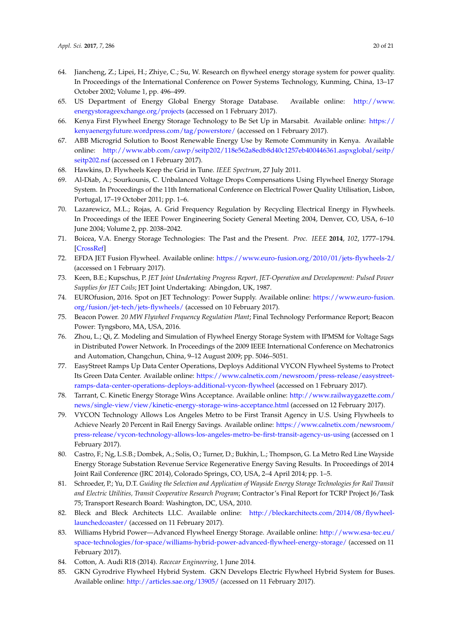- <span id="page-19-0"></span>64. Jiancheng, Z.; Lipei, H.; Zhiye, C.; Su, W. Research on flywheel energy storage system for power quality. In Proceedings of the International Conference on Power Systems Technology, Kunming, China, 13–17 October 2002; Volume 1, pp. 496–499.
- <span id="page-19-1"></span>65. US Department of Energy Global Energy Storage Database. Available online: [http://www.](http://www.energystorageexchange.org/projects) [energystorageexchange.org/projects](http://www.energystorageexchange.org/projects) (accessed on 1 February 2017).
- <span id="page-19-2"></span>66. Kenya First Flywheel Energy Storage Technology to Be Set Up in Marsabit. Available online: [https://](https://kenyaenergyfuture.wordpress.com/tag/powerstore/) [kenyaenergyfuture.wordpress.com/tag/powerstore/](https://kenyaenergyfuture.wordpress.com/tag/powerstore/) (accessed on 1 February 2017).
- <span id="page-19-3"></span>67. ABB Microgrid Solution to Boost Renewable Energy Use by Remote Community in Kenya. Available online: [http://www.abb.com/cawp/seitp202/118e562a8edb8d40c1257eb400446361.aspxglobal/seitp/](http://www.abb.com/cawp/seitp202/118e562a8edb8d40c1257eb400446361.aspxglobal/seitp/seitp202.nsf) [seitp202.nsf](http://www.abb.com/cawp/seitp202/118e562a8edb8d40c1257eb400446361.aspxglobal/seitp/seitp202.nsf) (accessed on 1 February 2017).
- <span id="page-19-4"></span>68. Hawkins, D. Flywheels Keep the Grid in Tune. *IEEE Spectrum*, 27 July 2011.
- <span id="page-19-5"></span>69. Al-Diab, A.; Sourkounis, C. Unbalanced Voltage Drops Compensations Using Flywheel Energy Storage System. In Proceedings of the 11th International Conference on Electrical Power Quality Utilisation, Lisbon, Portugal, 17–19 October 2011; pp. 1–6.
- <span id="page-19-6"></span>70. Lazarewicz, M.L.; Rojas, A. Grid Frequency Regulation by Recycling Electrical Energy in Flywheels. In Proceedings of the IEEE Power Engineering Society General Meeting 2004, Denver, CO, USA, 6–10 June 2004; Volume 2, pp. 2038–2042.
- <span id="page-19-7"></span>71. Boicea, V.A. Energy Storage Technologies: The Past and the Present. *Proc. IEEE* **2014**, *102*, 1777–1794. [\[CrossRef\]](http://dx.doi.org/10.1109/JPROC.2014.2359545)
- <span id="page-19-8"></span>72. EFDA JET Fusion Flywheel. Available online: <https://www.euro-fusion.org/2010/01/jets-flywheels-2/> (accessed on 1 February 2017).
- <span id="page-19-9"></span>73. Keen, B.E.; Kupschus, P. *JET Joint Undertaking Progress Report, JET-Operation and Developement: Pulsed Power Supplies for JET Coils*; JET Joint Undertaking: Abingdon, UK, 1987.
- <span id="page-19-10"></span>74. EUROfusion, 2016. Spot on JET Technology: Power Supply. Available online: [https://www.euro-fusion.](https://www.euro-fusion.org/fusion/jet-tech/jets-flywheels/) [org/fusion/jet-tech/jets-flywheels/](https://www.euro-fusion.org/fusion/jet-tech/jets-flywheels/) (accessed on 10 February 2017).
- <span id="page-19-11"></span>75. Beacon Power. *20 MW Flywheel Frequency Regulation Plant*; Final Technology Performance Report; Beacon Power: Tyngsboro, MA, USA, 2016.
- <span id="page-19-12"></span>76. Zhou, L.; Qi, Z. Modeling and Simulation of Flywheel Energy Storage System with IPMSM for Voltage Sags in Distributed Power Network. In Proceedings of the 2009 IEEE International Conference on Mechatronics and Automation, Changchun, China, 9–12 August 2009; pp. 5046–5051.
- <span id="page-19-13"></span>77. EasyStreet Ramps Up Data Center Operations, Deploys Additional VYCON Flywheel Systems to Protect Its Green Data Center. Available online: [https://www.calnetix.com/newsroom/press-release/easystreet](https://www.calnetix.com/newsroom/press-release/easystreet-ramps-data-center-operations-deploys-additional-vycon-flywheel)[ramps-data-center-operations-deploys-additional-vycon-flywheel](https://www.calnetix.com/newsroom/press-release/easystreet-ramps-data-center-operations-deploys-additional-vycon-flywheel) (accessed on 1 February 2017).
- <span id="page-19-14"></span>78. Tarrant, C. Kinetic Energy Storage Wins Acceptance. Available online: [http://www.railwaygazette.com/](http://www.railwaygazette.com/news/single-view/view/kinetic-energy-storage-wins-acceptance.html) [news/single-view/view/kinetic-energy-storage-wins-acceptance.html](http://www.railwaygazette.com/news/single-view/view/kinetic-energy-storage-wins-acceptance.html) (accessed on 12 February 2017).
- <span id="page-19-15"></span>79. VYCON Technology Allows Los Angeles Metro to be First Transit Agency in U.S. Using Flywheels to Achieve Nearly 20 Percent in Rail Energy Savings. Available online: [https://www.calnetix.com/newsroom/](https://www.calnetix.com/newsroom/press-release/vycon-technology-allows-los-angeles-metro-be-first-transit-agency-us-using) [press-release/vycon-technology-allows-los-angeles-metro-be-first-transit-agency-us-using](https://www.calnetix.com/newsroom/press-release/vycon-technology-allows-los-angeles-metro-be-first-transit-agency-us-using) (accessed on 1 February 2017).
- <span id="page-19-16"></span>80. Castro, F.; Ng, L.S.B.; Dombek, A.; Solis, O.; Turner, D.; Bukhin, L.; Thompson, G. La Metro Red Line Wayside Energy Storage Substation Revenue Service Regenerative Energy Saving Results. In Proceedings of 2014 Joint Rail Conference (JRC 2014), Colorado Springs, CO, USA, 2–4 April 2014; pp. 1–5.
- <span id="page-19-17"></span>81. Schroeder, P.; Yu, D.T. *Guiding the Selection and Application of Wayside Energy Storage Technologies for Rail Transit and Electric Utilities, Transit Cooperative Research Program*; Contractor's Final Report for TCRP Project J6/Task 75; Transport Research Board: Washington, DC, USA, 2010.
- <span id="page-19-18"></span>82. Bleck and Bleck Architects LLC. Available online: [http://bleckarchitects.com/2014/08/flywheel](http://bleckarchitects.com/2014/08/flywheel-launchedcoaster/)[launchedcoaster/](http://bleckarchitects.com/2014/08/flywheel-launchedcoaster/) (accessed on 11 February 2017).
- <span id="page-19-19"></span>83. Williams Hybrid Power—Advanced Flywheel Energy Storage. Available online: [http://www.esa-tec.eu/](http://www.esa-tec.eu/space-technologies/for-space/williams-hybrid-power-advanced-flywheel-energy-storage/) [space-technologies/for-space/williams-hybrid-power-advanced-flywheel-energy-storage/](http://www.esa-tec.eu/space-technologies/for-space/williams-hybrid-power-advanced-flywheel-energy-storage/) (accessed on 11 February 2017).
- <span id="page-19-20"></span>84. Cotton, A. Audi R18 (2014). *Racecar Engineering*, 1 June 2014.
- <span id="page-19-21"></span>85. GKN Gyrodrive Flywheel Hybrid System. GKN Develops Electric Flywheel Hybrid System for Buses. Available online: <http://articles.sae.org/13905/> (accessed on 11 February 2017).